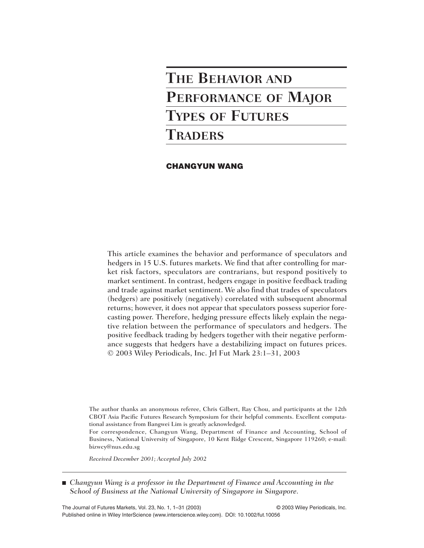# **THE BEHAVIOR AND PERFORMANCE OF MAJOR TYPES OF FUTURES TRADERS**

#### **CHANGYUN WANG**

This article examines the behavior and performance of speculators and hedgers in 15 U.S. futures markets. We find that after controlling for market risk factors, speculators are contrarians, but respond positively to market sentiment. In contrast, hedgers engage in positive feedback trading and trade against market sentiment. We also find that trades of speculators (hedgers) are positively (negatively) correlated with subsequent abnormal returns; however, it does not appear that speculators possess superior forecasting power. Therefore, hedging pressure effects likely explain the negative relation between the performance of speculators and hedgers. The positive feedback trading by hedgers together with their negative performance suggests that hedgers have a destabilizing impact on futures prices. © 2003 Wiley Periodicals, Inc. Jrl Fut Mark 23:1–31, 2003

The author thanks an anonymous referee, Chris Gilbert, Ray Chou, and participants at the 12th CBOT Asia Pacific Futures Research Symposium for their helpful comments. Excellent computational assistance from Bangwei Lim is greatly acknowledged.

For correspondence, Changyun Wang, Department of Finance and Accounting, School of Business, National University of Singapore, 10 Kent Ridge Crescent, Singapore 119260; e-mail: bizwcy@nus.edu.sg

*Received December 2001; Accepted July 2002*

■ *Changyun Wang is a professor in the Department of Finance and Accounting in the School of Business at the National University of Singapore in Singapore.*

The Journal of Futures Markets, Vol. 23, No. 1, 1–31 (2003) © 2003 Wiley Periodicals, Inc. Published online in Wiley InterScience (www.interscience.wiley.com). DOI: 10.1002/fut.10056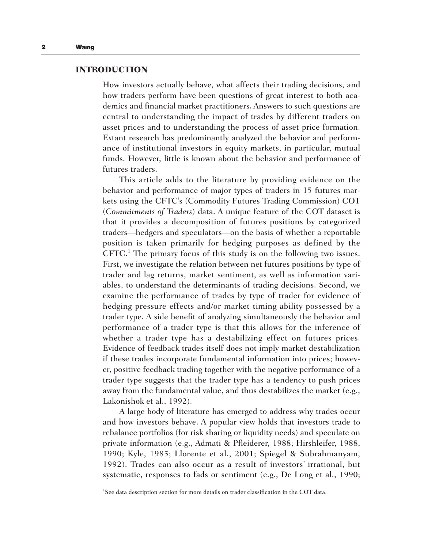#### **INTRODUCTION**

How investors actually behave, what affects their trading decisions, and how traders perform have been questions of great interest to both academics and financial market practitioners. Answers to such questions are central to understanding the impact of trades by different traders on asset prices and to understanding the process of asset price formation. Extant research has predominantly analyzed the behavior and performance of institutional investors in equity markets, in particular, mutual funds. However, little is known about the behavior and performance of futures traders.

This article adds to the literature by providing evidence on the behavior and performance of major types of traders in 15 futures markets using the CFTC's (Commodity Futures Trading Commission) COT (*Commitments of Traders*) data. A unique feature of the COT dataset is that it provides a decomposition of futures positions by categorized traders—hedgers and speculators—on the basis of whether a reportable position is taken primarily for hedging purposes as defined by the CFTC.<sup>1</sup> The primary focus of this study is on the following two issues. First, we investigate the relation between net futures positions by type of trader and lag returns, market sentiment, as well as information variables, to understand the determinants of trading decisions. Second, we examine the performance of trades by type of trader for evidence of hedging pressure effects and/or market timing ability possessed by a trader type. A side benefit of analyzing simultaneously the behavior and performance of a trader type is that this allows for the inference of whether a trader type has a destabilizing effect on futures prices. Evidence of feedback trades itself does not imply market destabilization if these trades incorporate fundamental information into prices; however, positive feedback trading together with the negative performance of a trader type suggests that the trader type has a tendency to push prices away from the fundamental value, and thus destabilizes the market (e.g., Lakonishok et al., 1992).

A large body of literature has emerged to address why trades occur and how investors behave. A popular view holds that investors trade to rebalance portfolios (for risk sharing or liquidity needs) and speculate on private information (e.g., Admati & Pfleiderer, 1988; Hirshleifer, 1988, 1990; Kyle, 1985; Llorente et al., 2001; Spiegel & Subrahmanyam, 1992). Trades can also occur as a result of investors' irrational, but systematic, responses to fads or sentiment (e.g., De Long et al., 1990;

<sup>1</sup>See data description section for more details on trader classification in the COT data.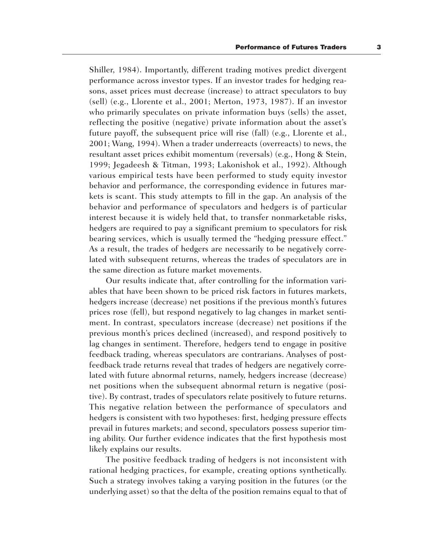Shiller, 1984). Importantly, different trading motives predict divergent performance across investor types. If an investor trades for hedging reasons, asset prices must decrease (increase) to attract speculators to buy (sell) (e.g., Llorente et al., 2001; Merton, 1973, 1987). If an investor who primarily speculates on private information buys (sells) the asset, reflecting the positive (negative) private information about the asset's future payoff, the subsequent price will rise (fall) (e.g., Llorente et al., 2001; Wang, 1994). When a trader underreacts (overreacts) to news, the resultant asset prices exhibit momentum (reversals) (e.g., Hong & Stein, 1999; Jegadeesh & Titman, 1993; Lakonishok et al., 1992). Although various empirical tests have been performed to study equity investor behavior and performance, the corresponding evidence in futures markets is scant. This study attempts to fill in the gap. An analysis of the behavior and performance of speculators and hedgers is of particular interest because it is widely held that, to transfer nonmarketable risks, hedgers are required to pay a significant premium to speculators for risk bearing services, which is usually termed the "hedging pressure effect." As a result, the trades of hedgers are necessarily to be negatively correlated with subsequent returns, whereas the trades of speculators are in the same direction as future market movements.

Our results indicate that, after controlling for the information variables that have been shown to be priced risk factors in futures markets, hedgers increase (decrease) net positions if the previous month's futures prices rose (fell), but respond negatively to lag changes in market sentiment. In contrast, speculators increase (decrease) net positions if the previous month's prices declined (increased), and respond positively to lag changes in sentiment. Therefore, hedgers tend to engage in positive feedback trading, whereas speculators are contrarians. Analyses of postfeedback trade returns reveal that trades of hedgers are negatively correlated with future abnormal returns, namely, hedgers increase (decrease) net positions when the subsequent abnormal return is negative (positive). By contrast, trades of speculators relate positively to future returns. This negative relation between the performance of speculators and hedgers is consistent with two hypotheses: first, hedging pressure effects prevail in futures markets; and second, speculators possess superior timing ability. Our further evidence indicates that the first hypothesis most likely explains our results.

The positive feedback trading of hedgers is not inconsistent with rational hedging practices, for example, creating options synthetically. Such a strategy involves taking a varying position in the futures (or the underlying asset) so that the delta of the position remains equal to that of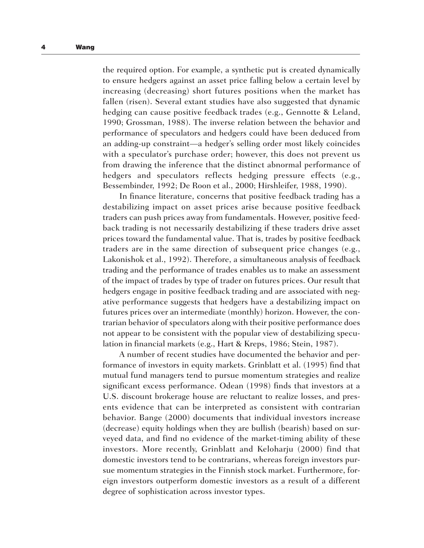the required option. For example, a synthetic put is created dynamically to ensure hedgers against an asset price falling below a certain level by increasing (decreasing) short futures positions when the market has fallen (risen). Several extant studies have also suggested that dynamic hedging can cause positive feedback trades (e.g., Gennotte & Leland, 1990; Grossman,1988). The inverse relation between the behavior and performance of speculators and hedgers could have been deduced from an adding-up constraint—a hedger's selling order most likely coincides with a speculator's purchase order; however, this does not prevent us from drawing the inference that the distinct abnormal performance of hedgers and speculators reflects hedging pressure effects (e.g., Bessembinder,1992; De Roon et al.,2000; Hirshleifer,1988,1990).

In finance literature, concerns that positive feedback trading has a destabilizing impact on asset prices arise because positive feedback traders can push prices away from fundamentals. However, positive feedback trading is not necessarily destabilizing if these traders drive asset prices toward the fundamental value. That is, trades by positive feedback traders are in the same direction of subsequent price changes (e.g., Lakonishok et al., 1992). Therefore, a simultaneous analysis of feedback trading and the performance of trades enables us to make an assessment of the impact of trades by type of trader on futures prices. Our result that hedgers engage in positive feedback trading and are associated with negative performance suggests that hedgers have a destabilizing impact on futures prices over an intermediate (monthly) horizon. However, the contrarian behavior of speculators along with their positive performance does not appear to be consistent with the popular view of destabilizing speculation in financial markets (e.g., Hart & Kreps, 1986; Stein, 1987).

A number of recent studies have documented the behavior and performance of investors in equity markets. Grinblatt et al. (1995) find that mutual fund managers tend to pursue momentum strategies and realize significant excess performance. Odean (1998) finds that investors at a U.S. discount brokerage house are reluctant to realize losses, and presents evidence that can be interpreted as consistent with contrarian behavior. Bange (2000) documents that individual investors increase (decrease) equity holdings when they are bullish (bearish) based on surveyed data, and find no evidence of the market-timing ability of these investors. More recently, Grinblatt and Keloharju (2000) find that domestic investors tend to be contrarians, whereas foreign investors pursue momentum strategies in the Finnish stock market. Furthermore, foreign investors outperform domestic investors as a result of a different degree of sophistication across investor types.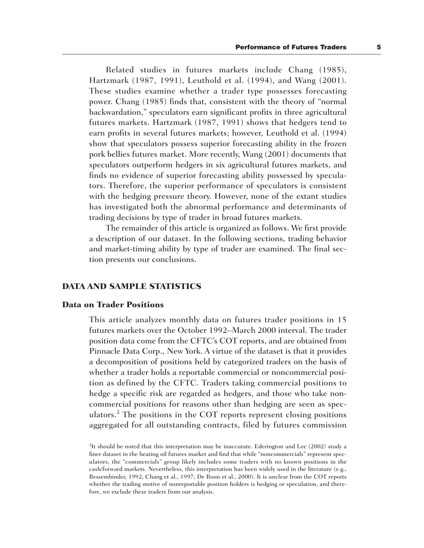Related studies in futures markets include Chang (1985), Hartzmark (1987, 1991), Leuthold et al. (1994), and Wang (2001). These studies examine whether a trader type possesses forecasting power. Chang (1985) finds that, consistent with the theory of "normal backwardation," speculators earn significant profits in three agricultural futures markets. Hartzmark (1987, 1991) shows that hedgers tend to earn profits in several futures markets; however, Leuthold et al. (1994) show that speculators possess superior forecasting ability in the frozen pork bellies futures market. More recently, Wang (2001) documents that speculators outperform hedgers in six agricultural futures markets, and finds no evidence of superior forecasting ability possessed by speculators. Therefore, the superior performance of speculators is consistent with the hedging pressure theory. However, none of the extant studies has investigated both the abnormal performance and determinants of trading decisions by type of trader in broad futures markets.

The remainder of this article is organized as follows. We first provide a description of our dataset. In the following sections, trading behavior and market-timing ability by type of trader are examined. The final section presents our conclusions.

#### **DATA AND SAMPLE STATISTICS**

#### **Data on Trader Positions**

This article analyzes monthly data on futures trader positions in 15 futures markets over the October 1992–March 2000 interval. The trader position data come from the CFTC's COT reports, and are obtained from Pinnacle Data Corp., New York. A virtue of the dataset is that it provides a decomposition of positions held by categorized traders on the basis of whether a trader holds a reportable commercial or noncommercial position as defined by the CFTC. Traders taking commercial positions to hedge a specific risk are regarded as hedgers, and those who take noncommercial positions for reasons other than hedging are seen as speculators.<sup>2</sup> The positions in the COT reports represent closing positions aggregated for all outstanding contracts, filed by futures commission

<sup>&</sup>lt;sup>2</sup>It should be noted that this interpretation may be inaccurate. Ederington and Lee (2002) study a finer dataset in the heating oil futures market and find that while "noncommercials" represent speculators, the "commercials" group likely includes some traders with no known positions in the cash/forward markets. Nevertheless, this interpretation has been widely used in the literature (e.g., Bessembinder, 1992; Chang et al., 1997; De Roon et al., 2000). It is unclear from the COT reports whether the trading motive of nonreportable position holders is hedging or speculation, and therefore, we exclude these traders from our analysis.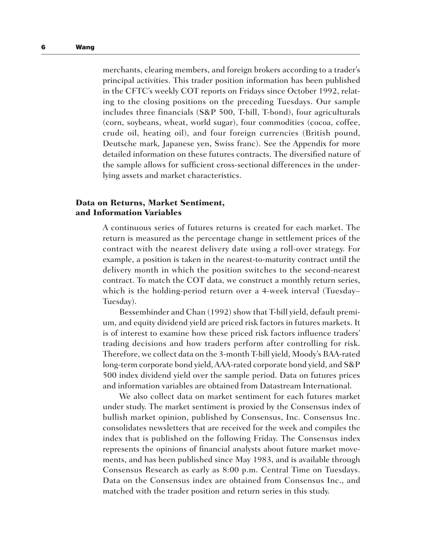merchants, clearing members, and foreign brokers according to a trader's principal activities. This trader position information has been published in the CFTC's weekly COT reports on Fridays since October 1992, relating to the closing positions on the preceding Tuesdays. Our sample includes three financials (S&P 500, T-bill, T-bond), four agriculturals (corn, soybeans, wheat, world sugar), four commodities (cocoa, coffee, crude oil, heating oil), and four foreign currencies (British pound, Deutsche mark, Japanese yen, Swiss franc). See the Appendix for more detailed information on these futures contracts. The diversified nature of the sample allows for sufficient cross-sectional differences in the underlying assets and market characteristics.

# **Data on Returns, Market Sentiment, and Information Variables**

A continuous series of futures returns is created for each market. The return is measured as the percentage change in settlement prices of the contract with the nearest delivery date using a roll-over strategy. For example, a position is taken in the nearest-to-maturity contract until the delivery month in which the position switches to the second-nearest contract. To match the COT data, we construct a monthly return series, which is the holding-period return over a 4-week interval (Tuesday– Tuesday).

Bessembinder and Chan (1992) show that T-bill yield, default premium,and equity dividend yield are priced risk factors in futures markets. It is of interest to examine how these priced risk factors influence traders' trading decisions and how traders perform after controlling for risk. Therefore, we collect data on the 3-month T-bill yield, Moody's BAA-rated long-term corporate bond yield, AAA-rated corporate bond yield, and S&P 500 index dividend yield over the sample period. Data on futures prices and information variables are obtained from Datastream International.

We also collect data on market sentiment for each futures market under study. The market sentiment is proxied by the Consensus index of bullish market opinion, published by Consensus, Inc. Consensus Inc. consolidates newsletters that are received for the week and compiles the index that is published on the following Friday. The Consensus index represents the opinions of financial analysts about future market movements, and has been published since May 1983, and is available through Consensus Research as early as 8:00 p.m. Central Time on Tuesdays. Data on the Consensus index are obtained from Consensus Inc., and matched with the trader position and return series in this study.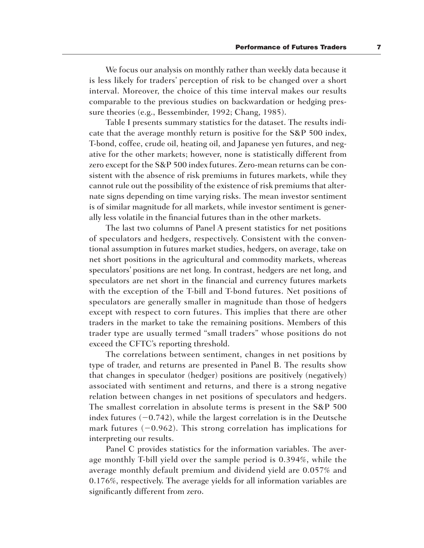We focus our analysis on monthly rather than weekly data because it is less likely for traders' perception of risk to be changed over a short interval. Moreover, the choice of this time interval makes our results comparable to the previous studies on backwardation or hedging pressure theories (e.g., Bessembinder, 1992; Chang, 1985).

Table I presents summary statistics for the dataset. The results indicate that the average monthly return is positive for the S&P 500 index, T-bond, coffee, crude oil, heating oil, and Japanese yen futures, and negative for the other markets; however, none is statistically different from zero except for the S&P 500 index futures. Zero-mean returns can be consistent with the absence of risk premiums in futures markets, while they cannot rule out the possibility of the existence of risk premiums that alternate signs depending on time varying risks. The mean investor sentiment is of similar magnitude for all markets, while investor sentiment is generally less volatile in the financial futures than in the other markets.

The last two columns of Panel A present statistics for net positions of speculators and hedgers, respectively. Consistent with the conventional assumption in futures market studies, hedgers, on average, take on net short positions in the agricultural and commodity markets, whereas speculators' positions are net long. In contrast, hedgers are net long, and speculators are net short in the financial and currency futures markets with the exception of the T-bill and T-bond futures. Net positions of speculators are generally smaller in magnitude than those of hedgers except with respect to corn futures. This implies that there are other traders in the market to take the remaining positions. Members of this trader type are usually termed "small traders" whose positions do not exceed the CFTC's reporting threshold.

The correlations between sentiment, changes in net positions by type of trader, and returns are presented in Panel B. The results show that changes in speculator (hedger) positions are positively (negatively) associated with sentiment and returns, and there is a strong negative relation between changes in net positions of speculators and hedgers. The smallest correlation in absolute terms is present in the S&P 500 index futures  $(-0.742)$ , while the largest correlation is in the Deutsche mark futures  $(-0.962)$ . This strong correlation has implications for interpreting our results.

Panel C provides statistics for the information variables. The average monthly T-bill yield over the sample period is 0.394%, while the average monthly default premium and dividend yield are 0.057% and 0.176%, respectively. The average yields for all information variables are significantly different from zero.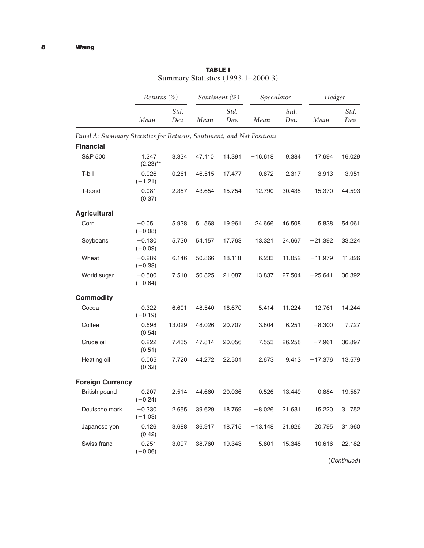|                                                                       | Returns $(\%)$        |              |        | Speculator<br>Sentiment $(\%)$ |           |              |           | Hedger       |
|-----------------------------------------------------------------------|-----------------------|--------------|--------|--------------------------------|-----------|--------------|-----------|--------------|
|                                                                       | Mean                  | Std.<br>Dev. | Mean   | Std.<br>Dev.                   | Mean      | Std.<br>Dev. | Mean      | Std.<br>Dev. |
| Panel A: Summary Statistics for Returns, Sentiment, and Net Positions |                       |              |        |                                |           |              |           |              |
| <b>Financial</b>                                                      |                       |              |        |                                |           |              |           |              |
| S&P 500                                                               | 1.247<br>$(2.23)$ **  | 3.334        | 47.110 | 14.391                         | $-16.618$ | 9.384        | 17.694    | 16.029       |
| T-bill                                                                | $-0.026$<br>$(-1.21)$ | 0.261        | 46.515 | 17.477                         | 0.872     | 2.317        | $-3.913$  | 3.951        |
| T-bond                                                                | 0.081<br>(0.37)       | 2.357        | 43.654 | 15.754                         | 12.790    | 30.435       | $-15.370$ | 44.593       |
| <b>Agricultural</b>                                                   |                       |              |        |                                |           |              |           |              |
| Corn                                                                  | $-0.051$<br>$(-0.08)$ | 5.938        | 51.568 | 19.961                         | 24.666    | 46.508       | 5.838     | 54.061       |
| Soybeans                                                              | $-0.130$<br>$(-0.09)$ | 5.730        | 54.157 | 17.763                         | 13.321    | 24.667       | $-21.392$ | 33.224       |
| Wheat                                                                 | $-0.289$<br>$(-0.38)$ | 6.146        | 50.866 | 18.118                         | 6.233     | 11.052       | $-11.979$ | 11.826       |
| World sugar                                                           | $-0.500$<br>$(-0.64)$ | 7.510        | 50.825 | 21.087                         | 13.837    | 27.504       | $-25.641$ | 36.392       |
| <b>Commodity</b>                                                      |                       |              |        |                                |           |              |           |              |
| Cocoa                                                                 | $-0.322$<br>$(-0.19)$ | 6.601        | 48.540 | 16.670                         | 5.414     | 11.224       | $-12.761$ | 14.244       |
| Coffee                                                                | 0.698<br>(0.54)       | 13.029       | 48.026 | 20.707                         | 3.804     | 6.251        | $-8.300$  | 7.727        |
| Crude oil                                                             | 0.222<br>(0.51)       | 7.435        | 47.814 | 20.056                         | 7.553     | 26.258       | $-7.961$  | 36.897       |
| Heating oil                                                           | 0.065<br>(0.32)       | 7.720        | 44.272 | 22.501                         | 2.673     | 9.413        | $-17.376$ | 13.579       |
| <b>Foreign Currency</b>                                               |                       |              |        |                                |           |              |           |              |
| British pound                                                         | $-0.207$<br>$(-0.24)$ | 2.514        | 44.660 | 20.036                         | $-0.526$  | 13.449       | 0.884     | 19.587       |
| Deutsche mark                                                         | $-0.330$<br>$(-1.03)$ | 2.655        | 39.629 | 18.769                         | $-8.026$  | 21.631       | 15.220    | 31.752       |
| Japanese yen                                                          | 0.126<br>(0.42)       | 3.688        | 36.917 | 18.715                         | $-13.148$ | 21.926       | 20.795    | 31.960       |
| Swiss franc                                                           | $-0.251$<br>$(-0.06)$ | 3.097        | 38.760 | 19.343                         | $-5.801$  | 15.348       | 10.616    | 22.182       |
|                                                                       |                       |              |        |                                |           |              |           | (Continued)  |

**TABLE I** Summary Statistics (1993.1–2000.3)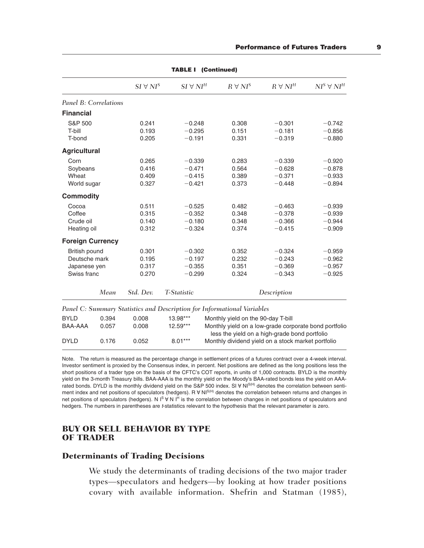|                                                                         | <b>TABLE I</b> (Continued) |                   |                                    |                  |                         |  |  |  |
|-------------------------------------------------------------------------|----------------------------|-------------------|------------------------------------|------------------|-------------------------|--|--|--|
|                                                                         | $SI \forall NI^S$          | $SI \forall NI^H$ | $R \forall N I^S$                  | $R \forall NI^H$ | $NI^S$ $\forall$ $NI^H$ |  |  |  |
| Panel B: Correlations                                                   |                            |                   |                                    |                  |                         |  |  |  |
| <b>Financial</b>                                                        |                            |                   |                                    |                  |                         |  |  |  |
| S&P 500                                                                 | 0.241                      | $-0.248$          | 0.308                              | $-0.301$         | $-0.742$                |  |  |  |
| T-bill                                                                  | 0.193                      | $-0.295$          | 0.151                              | $-0.181$         | $-0.856$                |  |  |  |
| T-bond                                                                  | 0.205                      | $-0.191$          | 0.331                              | $-0.319$         | $-0.880$                |  |  |  |
| <b>Agricultural</b>                                                     |                            |                   |                                    |                  |                         |  |  |  |
| Corn                                                                    | 0.265                      | $-0.339$          | 0.283                              | $-0.339$         | $-0.920$                |  |  |  |
| Soybeans                                                                | 0.416                      | $-0.471$          | 0.564                              | $-0.628$         | $-0.878$                |  |  |  |
| Wheat                                                                   | 0.409                      | $-0.415$          | 0.389                              | $-0.371$         | $-0.933$                |  |  |  |
| World sugar                                                             | 0.327                      | $-0.421$          | 0.373                              | $-0.448$         | $-0.894$                |  |  |  |
| <b>Commodity</b>                                                        |                            |                   |                                    |                  |                         |  |  |  |
| Cocoa                                                                   | 0.511                      | $-0.525$          | 0.482                              | $-0.463$         | $-0.939$                |  |  |  |
| Coffee                                                                  | 0.315                      | $-0.352$          | 0.348                              | $-0.378$         | $-0.939$                |  |  |  |
| Crude oil                                                               | 0.140                      | $-0.180$          | 0.348                              | $-0.366$         | $-0.944$                |  |  |  |
| Heating oil                                                             | 0.312                      | $-0.324$          | 0.374                              | $-0.415$         | $-0.909$                |  |  |  |
| <b>Foreign Currency</b>                                                 |                            |                   |                                    |                  |                         |  |  |  |
| British pound                                                           | 0.301                      | $-0.302$          | 0.352                              | $-0.324$         | $-0.959$                |  |  |  |
| Deutsche mark                                                           | 0.195                      | $-0.197$          | 0.232                              | $-0.243$         | $-0.962$                |  |  |  |
| Japanese yen                                                            | 0.317                      | $-0.355$          | 0.351                              | $-0.369$         | $-0.957$                |  |  |  |
| Swiss franc                                                             | 0.270                      | $-0.299$          | 0.324                              | $-0.343$         | $-0.925$                |  |  |  |
| Mean                                                                    | Std. Dev.                  | T-Statistic       |                                    | Description      |                         |  |  |  |
| Panel C: Summary Statistics and Description for Informational Variables |                            |                   |                                    |                  |                         |  |  |  |
| <b>BYLD</b><br>0.394                                                    | 0.008                      | 13.98***          | Monthly yield on the 90-day T-bill |                  |                         |  |  |  |

BYLD 0.394 0.008 13.98\*\*\* Monthly yield on the 90-day T-bill BAA-AAA 0.057 0.008 12.59\*\*\* Monthly yield on a low-grade corporate bond portfolio less the yield on a high-grade bond portfolio DYLD 0.176 0.052 8.01\*\*\* Monthly dividend yield on a stock market portfolio

Note. The return is measured as the percentage change in settlement prices of a futures contract over a 4-week interval. Investor sentiment is proxied by the Consensus index, in percent. Net positions are defined as the long positions less the short positions of a trader type on the basis of the CFTC's COT reports, in units of 1,000 contracts. BYLD is the monthly yield on the 3-month Treasury bills. BAA-AAA is the monthly yield on the Moody's BAA-rated bonds less the yield on AAArated bonds. DYLD is the monthly dividend yield on the S&P 500 index. SI  $\forall$  NI<sup>S(H)</sup> denotes the correlation between sentiment index and net positions of speculators (hedgers). R V NI<sup>S(H)</sup> denotes the correlation between returns and changes in net positions of speculators (hedgers). N I<sup>S</sup> V N I<sup>H</sup> is the correlation between changes in net positions of speculators and hedgers. The numbers in parentheses are *t*-statistics relevant to the hypothesis that the relevant parameter is zero.

#### **BUY OR SELL BEHAVIOR BY TYPE OF TRADER**

#### **Determinants of Trading Decisions**

We study the determinants of trading decisions of the two major trader types—speculators and hedgers—by looking at how trader positions covary with available information. Shefrin and Statman (1985),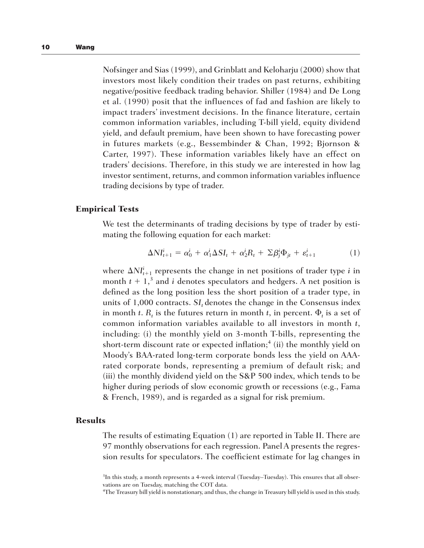Nofsinger and Sias (1999), and Grinblatt and Keloharju (2000) show that investors most likely condition their trades on past returns, exhibiting negative/positive feedback trading behavior. Shiller (1984) and De Long et al. (1990) posit that the influences of fad and fashion are likely to impact traders' investment decisions. In the finance literature, certain common information variables, including T-bill yield, equity dividend yield, and default premium, have been shown to have forecasting power in futures markets (e.g., Bessembinder & Chan, 1992; Bjornson & Carter,1997). These information variables likely have an effect on traders' decisions. Therefore, in this study we are interested in how lag investor sentiment, returns, and common information variables influence trading decisions by type of trader.

#### **Empirical Tests**

We test the determinants of trading decisions by type of trader by estimating the following equation for each market:

$$
\Delta NI_{t+1}^i = \alpha_0^i + \alpha_1^i \Delta SI_t + \alpha_2^i R_t + \Sigma \beta_j^i \Phi_{jt} + \varepsilon_{t+1}^i \tag{1}
$$

where  $\Delta N I^i_{t+1}$  represents the change in net positions of trader type  $i$  in month  $t + 1$ ,<sup>3</sup> and *i* denotes speculators and hedgers. A net position is defined as the long position less the short position of a trader type, in units of 1,000 contracts. *SI*, denotes the change in the Consensus index in month *t*.  $R_t$  is the futures return in month *t*, in percent.  $\Phi_t$  is a set of common information variables available to all investors in month *t*, including: (i) the monthly yield on 3-month T-bills, representing the short-term discount rate or expected inflation;<sup>4</sup> (ii) the monthly yield on Moody's BAA-rated long-term corporate bonds less the yield on AAArated corporate bonds, representing a premium of default risk; and (iii) the monthly dividend yield on the S&P 500 index, which tends to be higher during periods of slow economic growth or recessions (e.g., Fama & French, 1989), and is regarded as a signal for risk premium.

#### **Results**

The results of estimating Equation (1) are reported in Table II. There are 97 monthly observations for each regression. Panel A presents the regression results for speculators. The coefficient estimate for lag changes in

<sup>&</sup>lt;sup>3</sup>In this study, a month represents a 4-week interval (Tuesday–Tuesday). This ensures that all observations are on Tuesday, matching the COT data.

<sup>4</sup> The Treasury bill yield is nonstationary,and thus,the change in Treasury bill yield is used in this study.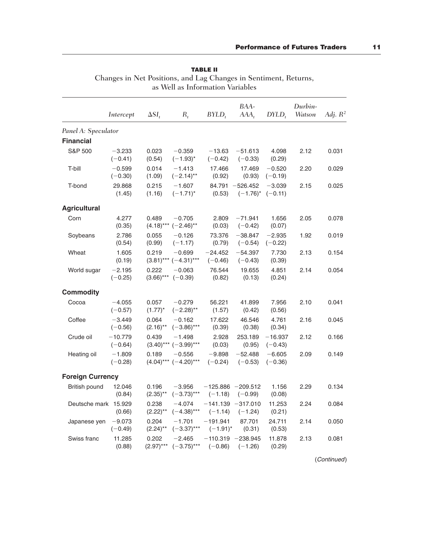|                         | Intercept              | $\Delta SI_t$                   | $R_t$                                  | BYLD,                       | BAA-<br>AAA               | DYLD,                  | Durbin-<br><b>Watson</b> | Adj. $R^2$ |
|-------------------------|------------------------|---------------------------------|----------------------------------------|-----------------------------|---------------------------|------------------------|--------------------------|------------|
| Panel A: Speculator     |                        |                                 |                                        |                             |                           |                        |                          |            |
| <b>Financial</b>        |                        |                                 |                                        |                             |                           |                        |                          |            |
| S&P 500                 | $-3.233$<br>$(-0.41)$  | 0.023<br>(0.54)                 | $-0.359$<br>$(-1.93)^*$                | $-13.63$<br>$(-0.42)$       | $-51.613$<br>$(-0.33)$    | 4.098<br>(0.29)        | 2.12                     | 0.031      |
| T-bill                  | $-0.599$<br>$(-0.30)$  | 0.014<br>(1.09)                 | $-1.413$<br>$(-2.14)$ **               | 17.466<br>(0.92)            | 17.469<br>(0.93)          | $-0.520$<br>$(-0.19)$  | 2.20                     | 0.029      |
| T-bond                  | 29.868<br>(1.45)       | 0.215<br>(1.16)                 | $-1.607$<br>$(-1.71)^*$                | 84.791<br>(0.53)            | $-526.452$<br>$(-1.76)^*$ | $-3.039$<br>$(-0.11)$  | 2.15                     | 0.025      |
| <b>Agricultural</b>     |                        |                                 |                                        |                             |                           |                        |                          |            |
| Corn                    | 4.277<br>(0.35)        | 0.489<br>$(4.18)***$            | $-0.705$<br>$(-2.46)$ <sup>**</sup>    | 2.809<br>(0.03)             | $-71.941$<br>$(-0.42)$    | 1.656<br>(0.07)        | 2.05                     | 0.078      |
| Soybeans                | 2.786<br>(0.54)        | 0.055<br>(0.99)                 | $-0.126$<br>$(-1.17)$                  | 73.376<br>(0.79)            | $-38.847$<br>$(-0.54)$    | $-2.935$<br>$(-0.22)$  | 1.92                     | 0.019      |
| Wheat                   | 1.605<br>(0.19)        | 0.219                           | $-0.699$<br>$(3.81)$ *** $(-4.31)$ *** | $-24.452$<br>$(-0.46)$      | $-54.397$<br>$(-0.43)$    | 7.730<br>(0.39)        | 2.13                     | 0.154      |
| World sugar             | $-2.195$<br>$(-0.25)$  | 0.222<br>$(3.66)$ *** $(-0.39)$ | $-0.063$                               | 76.544<br>(0.82)            | 19.655<br>(0.13)          | 4.851<br>(0.24)        | 2.14                     | 0.054      |
| <b>Commodity</b>        |                        |                                 |                                        |                             |                           |                        |                          |            |
| Cocoa                   | $-4.055$<br>$(-0.57)$  | 0.057<br>$(1.77)^*$             | $-0.279$<br>$(-2.28)$ **               | 56.221<br>(1.57)            | 41.899<br>(0.42)          | 7.956<br>(0.56)        | 2.10                     | 0.041      |
| Coffee                  | $-3.449$<br>$(-0.56)$  | 0.064<br>$(2.16)$ **            | $-0.162$<br>$(-3.86)$ ***              | 17.622<br>(0.39)            | 46.546<br>(0.38)          | 4.761<br>(0.34)        | 2.16                     | 0.045      |
| Crude oil               | $-10.779$<br>$(-0.64)$ | 0.439                           | $-1.498$<br>$(3.40)$ *** $(-3.99)$ *** | 2.928<br>(0.03)             | 253.189<br>(0.95)         | $-16.937$<br>$(-0.43)$ | 2.12                     | 0.166      |
| Heating oil             | $-1.809$<br>$(-0.28)$  | 0.189                           | $-0.556$<br>$(4.04)$ *** $(-4.20)$ *** | $-9.898$<br>$(-0.24)$       | $-52.488$<br>$(-0.53)$    | $-6.605$<br>$(-0.36)$  | 2.09                     | 0.149      |
| <b>Foreign Currency</b> |                        |                                 |                                        |                             |                           |                        |                          |            |
| British pound           | 12.046<br>(0.84)       | 0.196<br>$(2.35)$ **            | $-3.956$<br>$(-3.73)$ ***              | $-125.886$<br>$(-1.18)$     | $-209.512$<br>$(-0.99)$   | 1.156<br>(0.08)        | 2.29                     | 0.134      |
| Deutsche mark           | 15.929<br>(0.66)       | 0.238<br>$(2.22)$ **            | $-4.074$<br>$(-4.38)$ ***              | $-141.139$<br>$(-1.14)$     | $-317.010$<br>$(-1.24)$   | 11.253<br>(0.21)       | 2.24                     | 0.084      |
| Japanese yen            | $-9.073$<br>$(-0.49)$  | 0.204<br>$(2.24)$ **            | $-1.701$<br>$(-3.37)$ ***              | $-191.941$<br>$(-1.91)^{*}$ | 87.701<br>(0.31)          | 24.711<br>(0.53)       | 2.14                     | 0.050      |
| Swiss franc             | 11.285<br>(0.88)       | 0.202<br>$(2.97)***$            | $-2.465$<br>$(-3.75)$ ***              | $-110.319$<br>$(-0.86)$     | $-238.945$<br>$(-1.26)$   | 11.878<br>(0.29)       | 2.13                     | 0.081      |

**TABLE II** Changes in Net Positions, and Lag Changes in Sentiment, Returns, as Well as Information Variables

(Continued)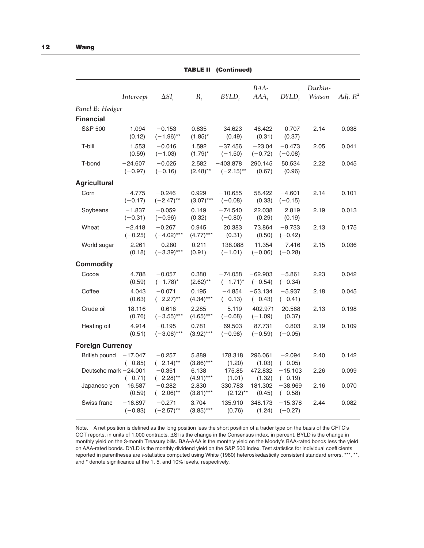|                         | Intercept              | $\Delta SI_t$             | $R_t$                 | BYLD,                             | BAA-<br>AAA             | $DYLD_t$               | Durbin-<br>Watson | Adj. $R^2$ |
|-------------------------|------------------------|---------------------------|-----------------------|-----------------------------------|-------------------------|------------------------|-------------------|------------|
| Panel B: Hedger         |                        |                           |                       |                                   |                         |                        |                   |            |
| <b>Financial</b>        |                        |                           |                       |                                   |                         |                        |                   |            |
| S&P 500                 | 1.094<br>(0.12)        | $-0.153$<br>$(-1.96)$ **  | 0.835<br>$(1.85)^*$   | 34.623<br>(0.49)                  | 46.422<br>(0.31)        | 0.707<br>(0.37)        | 2.14              | 0.038      |
| T-bill                  | 1.553<br>(0.59)        | $-0.016$<br>$(-1.03)$     | 1.592<br>$(1.79)^*$   | $-37.456$<br>$(-1.50)$            | $-23.04$<br>$(-0.72)$   | $-0.473$<br>$(-0.08)$  | 2.05              | 0.041      |
| T-bond                  | $-24.607$<br>$(-0.97)$ | $-0.025$<br>$(-0.16)$     | 2.582<br>$(2.48)$ **  | $-403.878$<br>$(-2.15)$ **        | 290.145<br>(0.67)       | 50.534<br>(0.96)       | 2.22              | 0.045      |
| <b>Agricultural</b>     |                        |                           |                       |                                   |                         |                        |                   |            |
| Corn                    | $-4.775$<br>$(-0.17)$  | $-0.246$<br>$(-2.47)$ **  | 0.929<br>$(3.07)***$  | $-10.655$<br>$(-0.08)$            | 58.422<br>(0.33)        | $-4.601$<br>$(-0.15)$  | 2.14              | 0.101      |
| Soybeans                | $-1.837$<br>$(-0.31)$  | $-0.059$<br>$(-0.96)$     | 0.149<br>(0.32)       | $-74.540$<br>$(-0.80)$            | 22.038<br>(0.29)        | 2.819<br>(0.19)        | 2.19              | 0.013      |
| Wheat                   | $-2.418$<br>$(-0.25)$  | $-0.267$<br>$(-4.02)$ *** | 0.945<br>$(4.77)***$  | 20.383<br>(0.31)                  | 73.864<br>(0.50)        | $-9.733$<br>$(-0.42)$  | 2.13              | 0.175      |
| World sugar             | 2.261<br>(0.18)        | $-0.280$<br>$(-3.39)***$  | 0.211<br>(0.91)       | $-138.088$<br>$(-1.01)$           | $-11.354$<br>$(-0.06)$  | $-7.416$<br>$(-0.28)$  | 2.15              | 0.036      |
| <b>Commodity</b>        |                        |                           |                       |                                   |                         |                        |                   |            |
| Cocoa                   | 4.788<br>(0.59)        | $-0.057$<br>$(-1.78)^*$   | 0.380<br>$(2.62)$ **  | $-74.058$<br>$(-1.71)^*$          | $-62.903$<br>$(-0.54)$  | $-5.861$<br>$(-0.34)$  | 2.23              | 0.042      |
| Coffee                  | 4.043<br>(0.63)        | $-0.071$<br>$(-2.27)$ **  | 0.195<br>$(4.34)***$  | $-4.854$<br>$(-0.13)$             | $-53.134$<br>$(-0.43)$  | $-5.937$<br>$(-0.41)$  | 2.18              | 0.045      |
| Crude oil               | 18.116<br>(0.76)       | $-0.618$<br>$(-3.55)$ *** | 2.285<br>$(4.65)***$  | $-5.119$<br>$(-0.68)$             | $-402.971$<br>$(-1.09)$ | 20.588<br>(0.37)       | 2.13              | 0.198      |
| Heating oil             | 4.914<br>(0.51)        | $-0.195$<br>$(-3.06)$ *** | 0.781<br>$(3.92)$ *** | $-69.503$<br>$(-0.98)$            | $-87.731$<br>$(-0.59)$  | $-0.803$<br>$(-0.05)$  | 2.19              | 0.109      |
| <b>Foreign Currency</b> |                        |                           |                       |                                   |                         |                        |                   |            |
| British pound           | $-17.047$<br>$(-0.85)$ | $-0.257$<br>$(-2.14)$ **  | 5.889<br>$(3.86)$ *** | 178.318<br>(1.20)                 | 296.061<br>(1.03)       | $-2.094$<br>$(-0.05)$  | 2.40              | 0.142      |
| Deutsche mark $-24.001$ | $(-0.71)$              | $-0.351$<br>$(-2.28)$ **  | 6.138<br>$(4.91***$   | 175.85<br>(1.01)                  | 472.832<br>(1.32)       | $-15.103$<br>$(-0.19)$ | 2.26              | 0.099      |
| Japanese yen            | 16.587<br>(0.59)       | $-0.282$<br>$(-2.06)$ **  | 2.830<br>$(3.81)***$  | 330.783<br>$(2.12)$ <sup>**</sup> | 181.302<br>(0.45)       | $-38.969$<br>$(-0.58)$ | 2.16              | 0.070      |
| Swiss franc             | $-16.897$<br>$(-0.83)$ | $-0.271$<br>$(-2.57)$ **  | 3.704<br>$(3.85)***$  | 135.910<br>(0.76)                 | 348.173<br>(1.24)       | $-15.378$<br>$(-0.27)$ | 2.44              | 0.082      |

**TABLE II (Continued)**

Note. A net position is defined as the long position less the short position of a trader type on the basis of the CFTC's COT reports, in units of 1,000 contracts.  $\Delta SI$  is the change in the Consensus index, in percent. BYLD is the change in monthly yield on the 3-month Treasury bills. BAA-AAA is the monthly yield on the Moody's BAA-rated bonds less the yield on AAA-rated bonds. DYLD is the monthly dividend yield on the S&P 500 index. Test statistics for individual coefficients reported in parentheses are t-statistics computed using White (1980) heteroskedasticity consistent standard errors. \*\*\*, \*\*, and \* denote significance at the 1, 5, and 10% levels, respectively.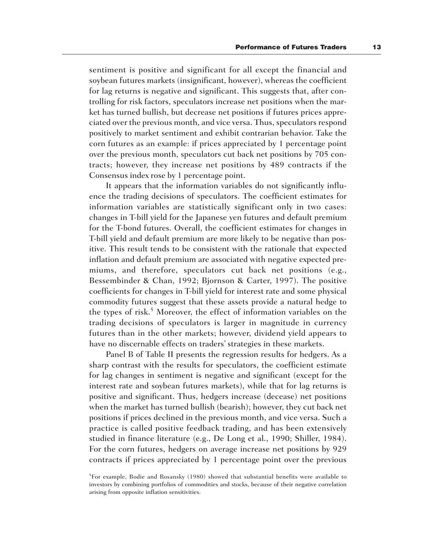sentiment is positive and significant for all except the financial and soybean futures markets (insignificant, however), whereas the coefficient for lag returns is negative and significant. This suggests that, after controlling for risk factors, speculators increase net positions when the market has turned bullish, but decrease net positions if futures prices appreciated over the previous month, and vice versa. Thus, speculators respond positively to market sentiment and exhibit contrarian behavior. Take the corn futures as an example: if prices appreciated by 1 percentage point over the previous month, speculators cut back net positions by 705 contracts; however, they increase net positions by 489 contracts if the Consensus index rose by 1 percentage point.

It appears that the information variables do not significantly influence the trading decisions of speculators. The coefficient estimates for information variables are statistically significant only in two cases: changes in T-bill yield for the Japanese yen futures and default premium for the T-bond futures. Overall, the coefficient estimates for changes in T-bill yield and default premium are more likely to be negative than positive. This result tends to be consistent with the rationale that expected inflation and default premium are associated with negative expected premiums, and therefore, speculators cut back net positions (e.g., Bessembinder & Chan, 1992; Bjornson & Carter, 1997). The positive coefficients for changes in T-bill yield for interest rate and some physical commodity futures suggest that these assets provide a natural hedge to the types of risk.<sup>5</sup> Moreover, the effect of information variables on the trading decisions of speculators is larger in magnitude in currency futures than in the other markets; however, dividend yield appears to have no discernable effects on traders' strategies in these markets.

Panel B of Table II presents the regression results for hedgers. As a sharp contrast with the results for speculators, the coefficient estimate for lag changes in sentiment is negative and significant (except for the interest rate and soybean futures markets), while that for lag returns is positive and significant. Thus, hedgers increase (decease) net positions when the market has turned bullish (bearish); however, they cut back net positions if prices declined in the previous month, and vice versa. Such a practice is called positive feedback trading, and has been extensively studied in finance literature (e.g., De Long et al., 1990; Shiller, 1984). For the corn futures, hedgers on average increase net positions by 929 contracts if prices appreciated by 1 percentage point over the previous

<sup>&</sup>lt;sup>5</sup>For example, Bodie and Rosansky (1980) showed that substantial benefits were available to investors by combining portfolios of commodities and stocks, because of their negative correlation arising from opposite inflation sensitivities.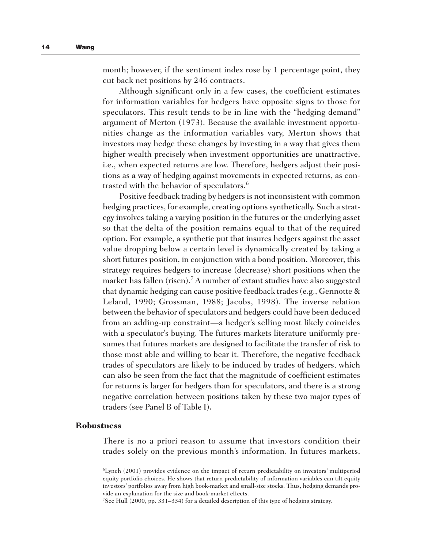month; however, if the sentiment index rose by 1 percentage point, they cut back net positions by 246 contracts.

Although significant only in a few cases, the coefficient estimates for information variables for hedgers have opposite signs to those for speculators. This result tends to be in line with the "hedging demand" argument of Merton (1973). Because the available investment opportunities change as the information variables vary, Merton shows that investors may hedge these changes by investing in a way that gives them higher wealth precisely when investment opportunities are unattractive, i.e., when expected returns are low. Therefore, hedgers adjust their positions as a way of hedging against movements in expected returns, as contrasted with the behavior of speculators.<sup>6</sup>

Positive feedback trading by hedgers is not inconsistent with common hedging practices, for example, creating options synthetically. Such a strategy involves taking a varying position in the futures or the underlying asset so that the delta of the position remains equal to that of the required option. For example,a synthetic put that insures hedgers against the asset value dropping below a certain level is dynamically created by taking a short futures position, in conjunction with a bond position. Moreover, this strategy requires hedgers to increase (decrease) short positions when the market has fallen (risen).<sup>7</sup> A number of extant studies have also suggested that dynamic hedging can cause positive feedback trades (e.g., Gennotte  $\&$ Leland,1990; Grossman,1988; Jacobs,1998). The inverse relation between the behavior of speculators and hedgers could have been deduced from an adding-up constraint—a hedger's selling most likely coincides with a speculator's buying. The futures markets literature uniformly presumes that futures markets are designed to facilitate the transfer of risk to those most able and willing to bear it. Therefore, the negative feedback trades of speculators are likely to be induced by trades of hedgers, which can also be seen from the fact that the magnitude of coefficient estimates for returns is larger for hedgers than for speculators, and there is a strong negative correlation between positions taken by these two major types of traders (see Panel B of Table I).

#### **Robustness**

There is no a priori reason to assume that investors condition their trades solely on the previous month's information. In futures markets,

7 See Hull (2000, pp. 331–334) for a detailed description of this type of hedging strategy.

<sup>6</sup> Lynch (2001) provides evidence on the impact of return predictability on investors' multiperiod equity portfolio choices. He shows that return predictability of information variables can tilt equity investors' portfolios away from high book-market and small-size stocks. Thus, hedging demands provide an explanation for the size and book-market effects.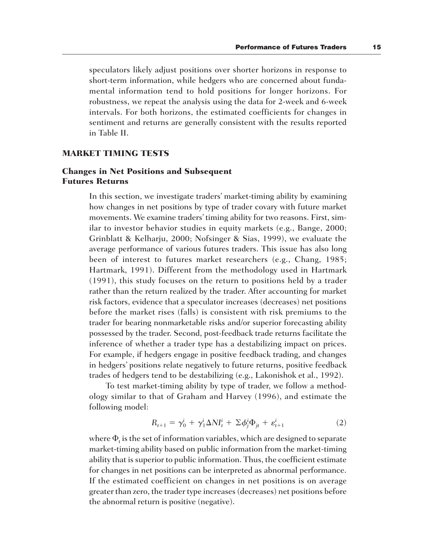speculators likely adjust positions over shorter horizons in response to short-term information, while hedgers who are concerned about fundamental information tend to hold positions for longer horizons. For robustness, we repeat the analysis using the data for 2-week and 6-week intervals. For both horizons, the estimated coefficients for changes in sentiment and returns are generally consistent with the results reported in Table II.

#### **MARKET TIMING TESTS**

#### **Changes in Net Positions and Subsequent Futures Returns**

In this section, we investigate traders' market-timing ability by examining how changes in net positions by type of trader covary with future market movements. We examine traders' timing ability for two reasons. First, similar to investor behavior studies in equity markets (e.g., Bange, 2000; Grinblatt & Kelharju, 2000; Nofsinger & Sias, 1999), we evaluate the average performance of various futures traders. This issue has also long been of interest to futures market researchers (e.g., Chang, 1985; Hartmark, 1991). Different from the methodology used in Hartmark (1991), this study focuses on the return to positions held by a trader rather than the return realized by the trader. After accounting for market risk factors, evidence that a speculator increases (decreases) net positions before the market rises (falls) is consistent with risk premiums to the trader for bearing nonmarketable risks and/or superior forecasting ability possessed by the trader. Second, post-feedback trade returns facilitate the inference of whether a trader type has a destabilizing impact on prices. For example, if hedgers engage in positive feedback trading, and changes in hedgers' positions relate negatively to future returns, positive feedback trades of hedgers tend to be destabilizing (e.g., Lakonishok et al., 1992).

To test market-timing ability by type of trader, we follow a methodology similar to that of Graham and Harvey (1996), and estimate the following model:

$$
R_{t+1} = \gamma_0^i + \gamma_1^i \Delta N I_t^i + \Sigma \phi_j^i \Phi_{jt} + \varepsilon_{t+1}^i \tag{2}
$$

where  $\Phi_t$  is the set of information variables, which are designed to separate market-timing ability based on public information from the market-timing ability that is superior to public information. Thus, the coefficient estimate for changes in net positions can be interpreted as abnormal performance. If the estimated coefficient on changes in net positions is on average greater than zero, the trader type increases (decreases) net positions before the abnormal return is positive (negative).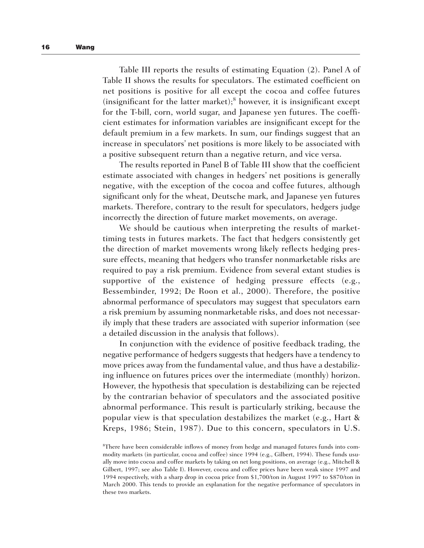Table III reports the results of estimating Equation (2). Panel A of Table II shows the results for speculators. The estimated coefficient on net positions is positive for all except the cocoa and coffee futures (insignificant for the latter market); $\delta$  however, it is insignificant except for the T-bill, corn, world sugar, and Japanese yen futures. The coefficient estimates for information variables are insignificant except for the default premium in a few markets. In sum, our findings suggest that an increase in speculators' net positions is more likely to be associated with a positive subsequent return than a negative return, and vice versa.

The results reported in Panel B of Table III show that the coefficient estimate associated with changes in hedgers' net positions is generally negative, with the exception of the cocoa and coffee futures, although significant only for the wheat, Deutsche mark, and Japanese yen futures markets. Therefore, contrary to the result for speculators, hedgers judge incorrectly the direction of future market movements, on average.

We should be cautious when interpreting the results of markettiming tests in futures markets. The fact that hedgers consistently get the direction of market movements wrong likely reflects hedging pressure effects, meaning that hedgers who transfer nonmarketable risks are required to pay a risk premium. Evidence from several extant studies is supportive of the existence of hedging pressure effects (e.g., Bessembinder, 1992; De Roon et al., 2000). Therefore, the positive abnormal performance of speculators may suggest that speculators earn a risk premium by assuming nonmarketable risks, and does not necessarily imply that these traders are associated with superior information (see a detailed discussion in the analysis that follows).

In conjunction with the evidence of positive feedback trading, the negative performance of hedgers suggests that hedgers have a tendency to move prices away from the fundamental value, and thus have a destabilizing influence on futures prices over the intermediate (monthly) horizon. However, the hypothesis that speculation is destabilizing can be rejected by the contrarian behavior of speculators and the associated positive abnormal performance. This result is particularly striking, because the popular view is that speculation destabilizes the market (e.g., Hart  $\&$ Kreps, 1986; Stein, 1987). Due to this concern, speculators in U.S.

<sup>8</sup> There have been considerable inflows of money from hedge and managed futures funds into commodity markets (in particular, cocoa and coffee) since 1994 (e.g., Gilbert, 1994). These funds usually move into cocoa and coffee markets by taking on net long positions, on average (e.g., Mitchell & Gilbert, 1997; see also Table I). However, cocoa and coffee prices have been weak since 1997 and 1994 respectively, with a sharp drop in cocoa price from \$1,700/ton in August 1997 to \$870/ton in March 2000. This tends to provide an explanation for the negative performance of speculators in these two markets.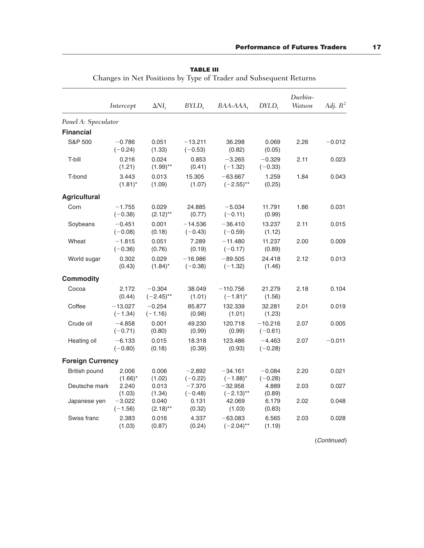|                         |                        |                                 |                        |                           |                        | Durbin-       |            |
|-------------------------|------------------------|---------------------------------|------------------------|---------------------------|------------------------|---------------|------------|
|                         | Intercept              | $\Delta NI_t$                   | $BYLD_t$               | BAA-AAA,                  | $DYLD_t$               | <b>Watson</b> | Adj. $R^2$ |
| Panel A: Speculator     |                        |                                 |                        |                           |                        |               |            |
| <b>Financial</b>        |                        |                                 |                        |                           |                        |               |            |
| S&P 500                 | $-0.786$<br>$(-0.24)$  | 0.051<br>(1.33)                 | $-13.211$<br>$(-0.53)$ | 36.298<br>(0.82)          | 0.069<br>(0.05)        | 2.26          | $-0.012$   |
| T-bill                  | 0.216<br>(1.21)        | 0.024<br>$(1.99)$ **            | 0.853<br>(0.41)        | $-3.265$<br>$(-1.32)$     | $-0.329$<br>$(-0.33)$  | 2.11          | 0.023      |
| T-bond                  | 3.443<br>$(1.81)^*$    | 0.013<br>(1.09)                 | 15.305<br>(1.07)       | $-63.667$<br>$(-2.55)$ ** | 1.259<br>(0.25)        | 1.84          | 0.043      |
| <b>Agricultural</b>     |                        |                                 |                        |                           |                        |               |            |
| Corn                    | $-1.755$<br>$(-0.38)$  | 0.029<br>$(2.12)$ **            | 24.885<br>(0.77)       | $-5.034$<br>$(-0.11)$     | 11.791<br>(0.99)       | 1.86          | 0.031      |
| Soybeans                | $-0.451$<br>$(-0.08)$  | 0.001<br>(0.18)                 | $-14.536$<br>$(-0.43)$ | $-36.410$<br>$(-0.59)$    | 13.237<br>(1.12)       | 2.11          | 0.015      |
| Wheat                   | $-1.815$<br>$(-0.36)$  | 0.051<br>(0.76)                 | 7.289<br>(0.19)        | $-11.480$<br>$(-0.17)$    | 11.237<br>(0.89)       | 2.00          | 0.009      |
| World sugar             | 0.302<br>(0.43)        | 0.029<br>$(1.84)^*$             | $-16.986$<br>$(-0.38)$ | $-89.505$<br>$(-1.32)$    | 24.418<br>(1.46)       | 2.12          | 0.013      |
| <b>Commodity</b>        |                        |                                 |                        |                           |                        |               |            |
| Cocoa                   | 2.172<br>(0.44)        | $-0.304$<br>$(-2.45)$ **        | 38.049<br>(1.01)       | $-110.756$<br>$(-1.81)^*$ | 21.279<br>(1.56)       | 2.18          | 0.104      |
| Coffee                  | $-13.027$<br>$(-1.34)$ | $-0.254$<br>$(-1.16)$           | 85.877<br>(0.98)       | 132.339<br>(1.01)         | 32.281<br>(1.23)       | 2.01          | 0.019      |
| Crude oil               | $-4.858$<br>$(-0.71)$  | 0.001<br>(0.80)                 | 49.230<br>(0.99)       | 120.718<br>(0.99)         | $-10.216$<br>$(-0.61)$ | 2.07          | 0.005      |
| Heating oil             | $-6.133$<br>$(-0.80)$  | 0.015<br>(0.18)                 | 18.318<br>(0.39)       | 123.486<br>(0.93)         | $-4.463$<br>$(-0.28)$  | 2.07          | $-0.011$   |
| <b>Foreign Currency</b> |                        |                                 |                        |                           |                        |               |            |
| British pound           | 2.006<br>$(1.66)^*$    | 0.006<br>(1.02)                 | $-2.892$<br>$(-0.22)$  | $-34.161$<br>$(-1.88)^*$  | $-0.084$<br>$(-0.28)$  | 2.20          | 0.021      |
| Deutsche mark           | 2.240<br>(1.03)        | 0.013<br>(1.34)                 | $-7.370$<br>$(-0.48)$  | $-32.958$<br>$(-2.13)$ ** | 4.889<br>(0.89)        | 2.03          | 0.027      |
| Japanese yen            | $-3.022$<br>$(-1.56)$  | 0.040<br>$(2.18)$ <sup>**</sup> | 0.131<br>(0.32)        | 42.069<br>(1.03)          | 6.179<br>(0.83)        | 2.02          | 0.048      |
| Swiss franc             | 2.383<br>(1.03)        | 0.016<br>(0.87)                 | 4.337<br>(0.24)        | $-63.083$<br>$(-2.04)$ ** | 6.565<br>(1.19)        | 2.03          | 0.028      |

**TABLE III**

Changes in Net Positions by Type of Trader and Subsequent Returns

(Continued)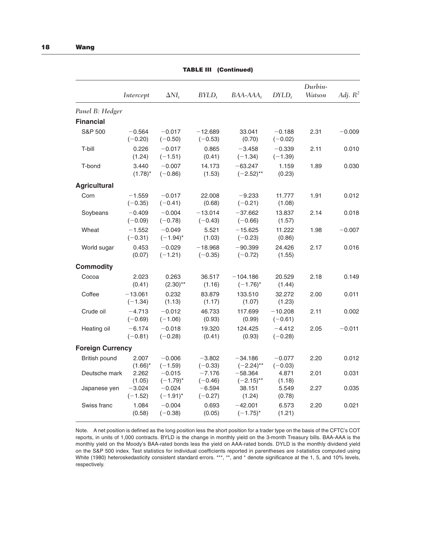|                         | Intercept              | $\Delta NI_t$             | BYLD <sub>r</sub>      | BAA-AAA,                  | DYLD <sub>t</sub>      | $Durbin-$<br><b>Watson</b> | Adj. $R^2$ |
|-------------------------|------------------------|---------------------------|------------------------|---------------------------|------------------------|----------------------------|------------|
| Panel B: Hedger         |                        |                           |                        |                           |                        |                            |            |
| <b>Financial</b>        |                        |                           |                        |                           |                        |                            |            |
| S&P 500                 | $-0.564$<br>$(-0.20)$  | $-0.017$<br>$(-0.50)$     | $-12.689$<br>$(-0.53)$ | 33.041<br>(0.70)          | $-0.188$<br>$(-0.02)$  | 2.31                       | $-0.009$   |
| T-bill                  | 0.226<br>(1.24)        | $-0.017$<br>$(-1.51)$     | 0.865<br>(0.41)        | $-3.458$<br>$(-1.34)$     | $-0.339$<br>$(-1.39)$  | 2.11                       | 0.010      |
| T-bond                  | 3.440<br>$(1.78)^*$    | $-0.007$<br>$(-0.86)$     | 14.173<br>(1.53)       | $-63.247$<br>$(-2.52)$ ** | 1.159<br>(0.23)        | 1.89                       | 0.030      |
| <b>Agricultural</b>     |                        |                           |                        |                           |                        |                            |            |
| Corn                    | $-1.559$<br>$(-0.35)$  | $-0.017$<br>$(-0.41)$     | 22.008<br>(0.68)       | $-9.233$<br>$(-0.21)$     | 11.777<br>(1.08)       | 1.91                       | 0.012      |
| Soybeans                | $-0.409$<br>$(-0.09)$  | $-0.004$<br>$(-0.78)$     | $-13.014$<br>$(-0.43)$ | $-37.662$<br>$(-0.66)$    | 13.837<br>(1.57)       | 2.14                       | 0.018      |
| Wheat                   | $-1.552$<br>$(-0.31)$  | $-0.049$<br>$(-1.94)^{*}$ | 5.521<br>(1.03)        | $-15.625$<br>$(-0.23)$    | 11.222<br>(0.86)       | 1.98                       | $-0.007$   |
| World sugar             | 0.453<br>(0.07)        | $-0.029$<br>$(-1.21)$     | $-18.968$<br>$(-0.35)$ | $-90.399$<br>$(-0.72)$    | 24.426<br>(1.55)       | 2.17                       | 0.016      |
| <b>Commodity</b>        |                        |                           |                        |                           |                        |                            |            |
| Cocoa                   | 2.023<br>(0.41)        | 0.263<br>$(2.30)$ **      | 36.517<br>(1.16)       | $-104.186$<br>$(-1.76)^*$ | 20.529<br>(1.44)       | 2.18                       | 0.149      |
| Coffee                  | $-13.061$<br>$(-1.34)$ | 0.232<br>(1.13)           | 83.879<br>(1.17)       | 133.510<br>(1.07)         | 32.272<br>(1.23)       | 2.00                       | 0.011      |
| Crude oil               | $-4.713$<br>$(-0.69)$  | $-0.012$<br>$(-1.06)$     | 46.733<br>(0.93)       | 117.699<br>(0.99)         | $-10.208$<br>$(-0.61)$ | 2.11                       | 0.002      |
| Heating oil             | $-6.174$<br>$(-0.81)$  | $-0.018$<br>$(-0.28)$     | 19.320<br>(0.41)       | 124.425<br>(0.93)         | $-4.412$<br>$(-0.28)$  | 2.05                       | $-0.011$   |
| <b>Foreign Currency</b> |                        |                           |                        |                           |                        |                            |            |
| British pound           | 2.007<br>$(1.66)^*$    | $-0.006$<br>$(-1.59)$     | $-3.802$<br>$(-0.33)$  | $-34.186$<br>$(-2.24)$ ** | $-0.077$<br>$(-0.03)$  | 2.20                       | 0.012      |
| Deutsche mark           | 2.262<br>(1.05)        | $-0.015$<br>$(-1.79)^*$   | $-7.176$<br>$(-0.46)$  | $-58.364$<br>$(-2.15)$ ** | 4.871<br>(1.18)        | 2.01                       | 0.031      |
| Japanese yen            | $-3.024$<br>$(-1.52)$  | $-0.024$<br>$(-1.91)^*$   | $-6.594$<br>$(-0.27)$  | 38.151<br>(1.24)          | 5.549<br>(0.78)        | 2.27                       | 0.035      |
| Swiss franc             | 1.084<br>(0.58)        | $-0.004$<br>$(-0.38)$     | 0.693<br>(0.05)        | $-42.001$<br>$(-1.75)^*$  | 6.573<br>(1.21)        | 2.20                       | 0.021      |

**TABLE III (Continued)**

Note. A net position is defined as the long position less the short position for a trader type on the basis of the CFTC's COT reports, in units of 1,000 contracts. BYLD is the change in monthly yield on the 3-month Treasury bills. BAA-AAA is the monthly yield on the Moody's BAA-rated bonds less the yield on AAA-rated bonds. DYLD is the monthly dividend yield on the S&P 500 index. Test statistics for individual coefficients reported in parentheses are t-statistics computed using White (1980) heteroskedasticity consistent standard errors. \*\*\*, \*\*, and \* denote significance at the 1, 5, and 10% levels, respectively.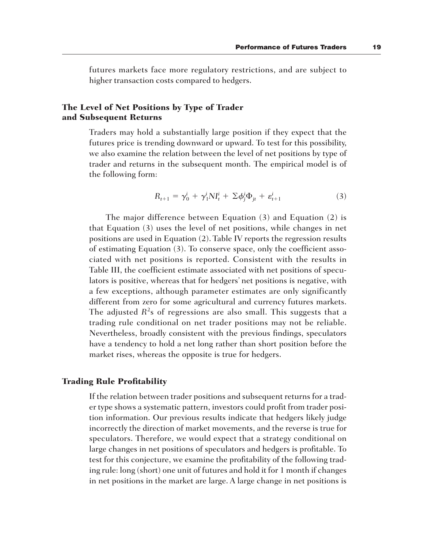futures markets face more regulatory restrictions, and are subject to higher transaction costs compared to hedgers.

# **The Level of Net Positions by Type of Trader and Subsequent Returns**

Traders may hold a substantially large position if they expect that the futures price is trending downward or upward. To test for this possibility, we also examine the relation between the level of net positions by type of trader and returns in the subsequent month. The empirical model is of the following form:

$$
R_{t+1} = \gamma_0^i + \gamma_1^i N I_t^i + \Sigma \phi_j^i \Phi_{jt} + \varepsilon_{t+1}^i \tag{3}
$$

The major difference between Equation (3) and Equation (2) is that Equation (3) uses the level of net positions, while changes in net positions are used in Equation (2). Table IV reports the regression results of estimating Equation (3). To conserve space, only the coefficient associated with net positions is reported. Consistent with the results in Table III, the coefficient estimate associated with net positions of speculators is positive, whereas that for hedgers' net positions is negative, with a few exceptions, although parameter estimates are only significantly different from zero for some agricultural and currency futures markets. The adjusted  $R^2$ s of regressions are also small. This suggests that a trading rule conditional on net trader positions may not be reliable. Nevertheless, broadly consistent with the previous findings, speculators have a tendency to hold a net long rather than short position before the market rises, whereas the opposite is true for hedgers.

#### **Trading Rule Profitability**

If the relation between trader positions and subsequent returns for a trader type shows a systematic pattern, investors could profit from trader position information. Our previous results indicate that hedgers likely judge incorrectly the direction of market movements, and the reverse is true for speculators. Therefore, we would expect that a strategy conditional on large changes in net positions of speculators and hedgers is profitable. To test for this conjecture, we examine the profitability of the following trading rule: long (short) one unit of futures and hold it for 1 month if changes in net positions in the market are large. A large change in net positions is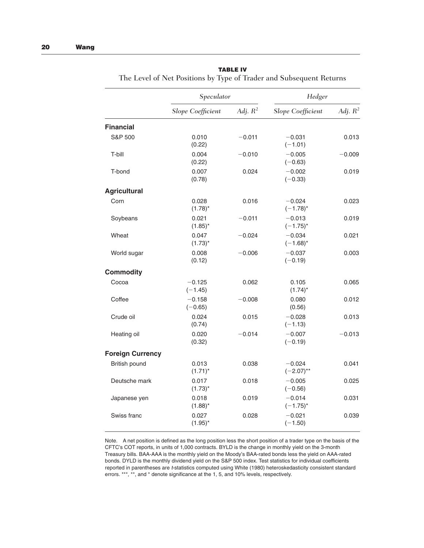|                         | Speculator            |            | Hedger                   |            |
|-------------------------|-----------------------|------------|--------------------------|------------|
|                         | Slope Coefficient     | Adj. $R^2$ | Slope Coefficient        | Adj. $R^2$ |
| <b>Financial</b>        |                       |            |                          |            |
| S&P 500                 | 0.010<br>(0.22)       | $-0.011$   | $-0.031$<br>$(-1.01)$    | 0.013      |
| T-bill                  | 0.004<br>(0.22)       | $-0.010$   | $-0.005$<br>$(-0.63)$    | $-0.009$   |
| T-bond                  | 0.007<br>(0.78)       | 0.024      | $-0.002$<br>$(-0.33)$    | 0.019      |
| <b>Agricultural</b>     |                       |            |                          |            |
| Corn                    | 0.028<br>$(1.78)^*$   | 0.016      | $-0.024$<br>$(-1.78)^*$  | 0.023      |
| Soybeans                | 0.021<br>$(1.85)^*$   | $-0.011$   | $-0.013$<br>$(-1.75)^*$  | 0.019      |
| Wheat                   | 0.047<br>$(1.73)^*$   | $-0.024$   | $-0.034$<br>$(-1.68)^*$  | 0.021      |
| World sugar             | 0.008<br>(0.12)       | $-0.006$   | $-0.037$<br>$(-0.19)$    | 0.003      |
| <b>Commodity</b>        |                       |            |                          |            |
| Cocoa                   | $-0.125$<br>$(-1.45)$ | 0.062      | 0.105<br>$(1.74)^*$      | 0.065      |
| Coffee                  | $-0.158$<br>$(-0.65)$ | $-0.008$   | 0.080<br>(0.56)          | 0.012      |
| Crude oil               | 0.024<br>(0.74)       | 0.015      | $-0.028$<br>$(-1.13)$    | 0.013      |
| Heating oil             | 0.020<br>(0.32)       | $-0.014$   | $-0.007$<br>$(-0.19)$    | $-0.013$   |
| <b>Foreign Currency</b> |                       |            |                          |            |
| British pound           | 0.013<br>$(1.71)^*$   | 0.038      | $-0.024$<br>$(-2.07)$ ** | 0.041      |
| Deutsche mark           | 0.017<br>$(1.73)^*$   | 0.018      | $-0.005$<br>$(-0.56)$    | 0.025      |
| Japanese yen            | 0.018<br>$(1.88)^*$   | 0.019      | $-0.014$<br>$(-1.75)^*$  | 0.031      |
| Swiss franc             | 0.027<br>$(1.95)^*$   | 0.028      | $-0.021$<br>$(-1.50)$    | 0.039      |

**TABLE IV** The Level of Net Positions by Type of Trader and Subsequent Returns

Note. A net position is defined as the long position less the short position of a trader type on the basis of the CFTC's COT reports, in units of 1,000 contracts. BYLD is the change in monthly yield on the 3-month Treasury bills. BAA-AAA is the monthly yield on the Moody's BAA-rated bonds less the yield on AAA-rated bonds. DYLD is the monthly dividend yield on the S&P 500 index. Test statistics for individual coefficients reported in parentheses are t-statistics computed using White (1980) heteroskedasticity consistent standard errors. \*\*\*, \*\*, and \* denote significance at the 1, 5, and 10% levels, respectively.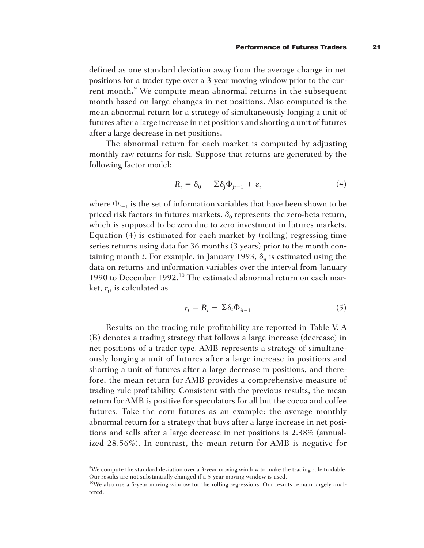defined as one standard deviation away from the average change in net positions for a trader type over a 3-year moving window prior to the current month.<sup>9</sup> We compute mean abnormal returns in the subsequent month based on large changes in net positions. Also computed is the mean abnormal return for a strategy of simultaneously longing a unit of futures after a large increase in net positions and shorting a unit of futures after a large decrease in net positions.

The abnormal return for each market is computed by adjusting monthly raw returns for risk. Suppose that returns are generated by the following factor model:

$$
R_t = \delta_0 + \Sigma \delta_j \Phi_{jt-1} + \varepsilon_t \tag{4}
$$

where  $\Phi_{t-1}$  is the set of information variables that have been shown to be priced risk factors in futures markets.  $\delta_0$  represents the zero-beta return, which is supposed to be zero due to zero investment in futures markets. Equation (4) is estimated for each market by (rolling) regressing time series returns using data for 36 months (3 years) prior to the month containing month *t*. For example, in January 1993,  $\delta_{it}$  is estimated using the data on returns and information variables over the interval from January 1990 to December 1992.<sup>10</sup> The estimated abnormal return on each mar- $\text{ket}, r_t$ , is calculated as

$$
r_t = R_t - \Sigma \delta_j \Phi_{jt-1} \tag{5}
$$

Results on the trading rule profitability are reported in Table V. A (B) denotes a trading strategy that follows a large increase (decrease) in net positions of a trader type. AMB represents a strategy of simultaneously longing a unit of futures after a large increase in positions and shorting a unit of futures after a large decrease in positions, and therefore, the mean return for AMB provides a comprehensive measure of trading rule profitability. Consistent with the previous results, the mean return for AMB is positive for speculators for all but the cocoa and coffee futures. Take the corn futures as an example: the average monthly abnormal return for a strategy that buys after a large increase in net positions and sells after a large decrease in net positions is 2.38% (annualized 28.56%). In contrast, the mean return for AMB is negative for

<sup>&</sup>lt;sup>9</sup>We compute the standard deviation over a 3-year moving window to make the trading rule tradable. Our results are not substantially changed if a 5-year moving window is used.

 $10$ We also use a 5-year moving window for the rolling regressions. Our results remain largely unaltered.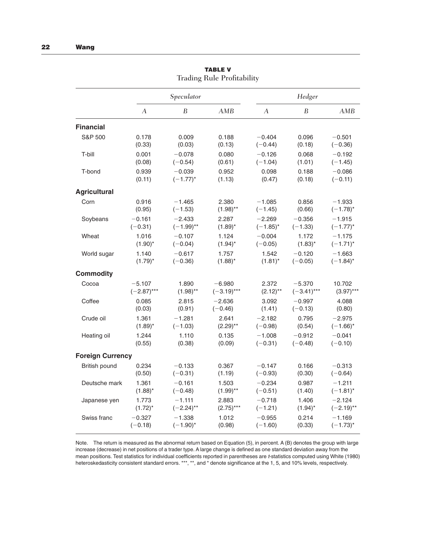|                         | Speculator    |              |               |                  | Hedger           |               |
|-------------------------|---------------|--------------|---------------|------------------|------------------|---------------|
|                         | A             | B            | AMB           | $\boldsymbol{A}$ | $\boldsymbol{B}$ | AMB           |
| <b>Financial</b>        |               |              |               |                  |                  |               |
| S&P 500                 | 0.178         | 0.009        | 0.188         | $-0.404$         | 0.096            | $-0.501$      |
|                         | (0.33)        | (0.03)       | (0.13)        | $(-0.44)$        | (0.18)           | $(-0.36)$     |
| T-bill                  | 0.001         | $-0.078$     | 0.080         | $-0.126$         | 0.068            | $-0.192$      |
|                         | (0.08)        | $(-0.54)$    | (0.61)        | $(-1.04)$        | (1.01)           | $(-1.45)$     |
| T-bond                  | 0.939         | $-0.039$     | 0.952         | 0.098            | 0.188            | $-0.086$      |
|                         | (0.11)        | $(-1.77)^*$  | (1.13)        | (0.47)           | (0.18)           | $(-0.11)$     |
| <b>Agricultural</b>     |               |              |               |                  |                  |               |
| Corn                    | 0.916         | $-1.465$     | 2.380         | $-1.085$         | 0.856            | $-1.933$      |
|                         | (0.95)        | $(-1.53)$    | $(1.98)$ **   | $(-1.45)$        | (0.66)           | $(-1.78)^*$   |
| Soybeans                | $-0.161$      | $-2.433$     | 2.287         | $-2.269$         | $-0.356$         | $-1.915$      |
|                         | $(-0.31)$     | $(-1.99)$ ** | $(1.89)^*$    | $(-1.85)^*$      | $(-1.33)$        | $(-1.77)^*$   |
| Wheat                   | 1.016         | $-0.107$     | 1.124         | $-0.004$         | 1.172            | $-1.175$      |
|                         | $(1.90)^*$    | $(-0.04)$    | $(1.94)^*$    | $(-0.05)$        | $(1.83)^*$       | $(-1.71)^*$   |
| World sugar             | 1.140         | $-0.617$     | 1.757         | 1.542            | $-0.120$         | $-1.663$      |
|                         | $(1.79)^*$    | $(-0.36)$    | $(1.88)^*$    | $(1.81)^*$       | $(-0.05)$        | $(-1.84)^*$   |
| <b>Commodity</b>        |               |              |               |                  |                  |               |
| Cocoa                   | $-5.107$      | 1.890        | $-6.980$      | 2.372            | $-5.370$         | 10.702        |
|                         | $(-2.87)$ *** | $(1.98)$ **  | $(-3.19)$ *** | $(2.12)$ **      | $(-3.41)$ ***    | $(3.97)***$   |
| Coffee                  | 0.085         | 2.815        | $-2.636$      | 3.092            | $-0.997$         | 4.088         |
|                         | (0.03)        | (0.91)       | $(-0.46)$     | (1.41)           | $(-0.13)$        | (0.80)        |
| Crude oil               | 1.361         | $-1.281$     | 2.641         | $-2.182$         | 0.795            | $-2.975$      |
|                         | $(1.89)^*$    | $(-1.03)$    | $(2.29)$ **   | $(-0.98)$        | (0.54)           | $(-1.66)^*$   |
| Heating oil             | 1.244         | 1.110        | 0.135         | $-1.008$         | $-0.912$         | $-0.041$      |
|                         | (0.55)        | (0.38)       | (0.09)        | $(-0.31)$        | $(-0.48)$        | $(-0.10)$     |
| <b>Foreign Currency</b> |               |              |               |                  |                  |               |
| British pound           | 0.234         | $-0.133$     | 0.367         | $-0.147$         | 0.166            | $-0.313$      |
|                         | (0.50)        | $(-0.31)$    | (1.19)        | $(-0.93)$        | (0.30)           | $(-0.64)$     |
| Deutsche mark           | 1.361         | $-0.161$     | 1.503         | $-0.234$         | 0.987            | $-1.211$      |
|                         | $(1.88)^*$    | $(-0.48)$    | $(1.99)$ **   | $(-0.51)$        | (1.40)           | $(-1.81)^*$   |
| Japanese yen            | 1.773         | $-1.111$     | 2.883         | $-0.718$         | 1.406            | $-2.124$      |
|                         | $(1.72)^*$    | $(-2.24)$ ** | $(2.75)***$   | $(-1.21)$        | $(1.94)^*$       | $(-2.19)$ **  |
| Swiss franc             | $-0.327$      | $-1.338$     | 1.012         | $-0.955$         | 0.214            | $-1.169$      |
|                         | $(-0.18)$     | $(-1.90)^*$  | (0.98)        | $(-1.60)$        | (0.33)           | $(-1.73)^{*}$ |

**TABLE V** Trading Rule Profitability

Note. The return is measured as the abnormal return based on Equation (5), in percent. A (B) denotes the group with large increase (decrease) in net positions of a trader type. A large change is defined as one standard deviation away from the mean positions. Test statistics for individual coefficients reported in parentheses are t-statistics computed using White (1980) heteroskedasticity consistent standard errors. \*\*\*, \*\*, and \* denote significance at the 1, 5, and 10% levels, respectively.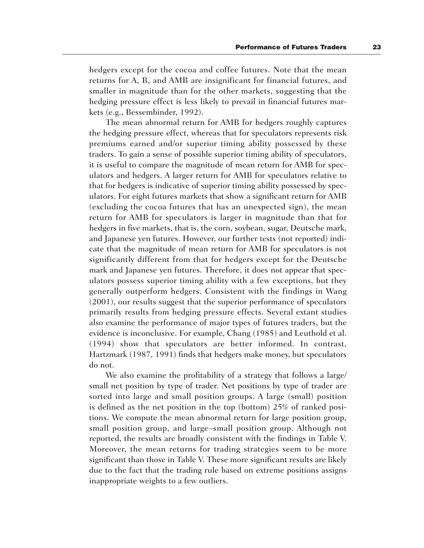hedgers except for the cocoa and coffee futures. Note that the mean returns for A, B, and AMB are insignificant for financial futures, and smaller in magnitude than for the other markets, suggesting that the hedging pressure effect is less likely to prevail in financial futures markets (e.g., Bessembinder, 1992).

The mean abnormal return for AMB for hedgers roughly captures the hedging pressure effect, whereas that for speculators represents risk premiums earned and/or superior timing ability possessed by these traders. To gain a sense of possible superior timing ability of speculators, it is useful to compare the magnitude of mean return for AMB for speculators and hedgers. A larger return for AMB for speculators relative to that for hedgers is indicative of superior timing ability possessed by speculators. For eight futures markets that show a significant return for AMB (excluding the cocoa futures that has an unexpected sign), the mean return for AMB for speculators is larger in magnitude than that for hedgers in five markets, that is, the corn, soybean, sugar, Deutsche mark, and Japanese yen futures. However, our further tests (not reported) indicate that the magnitude of mean return for AMB for speculators is not significantly different from that for hedgers except for the Deutsche mark and Japanese yen futures. Therefore, it does not appear that speculators possess superior timing ability with a few exceptions, but they generally outperform hedgers. Consistent with the findings in Wang (2001), our results suggest that the superior performance of speculators primarily results from hedging pressure effects. Several extant studies also examine the performance of major types of futures traders, but the evidence is inconclusive. For example, Chang (1985) and Leuthold et al. (1994) show that speculators are better informed. In contrast, Hartzmark (1987, 1991) finds that hedgers make money, but speculators do not.

We also examine the profitability of a strategy that follows a large/ small net position by type of trader. Net positions by type of trader are sorted into large and small position groups. A large (small) position is defined as the net position in the top (bottom) 25% of ranked positions. We compute the mean abnormal return for large position group, small position group, and large–small position group. Although not reported, the results are broadly consistent with the findings in Table V. Moreover, the mean returns for trading strategies seem to be more significant than those in Table V. These more significant results are likely due to the fact that the trading rule based on extreme positions assigns inappropriate weights to a few outliers.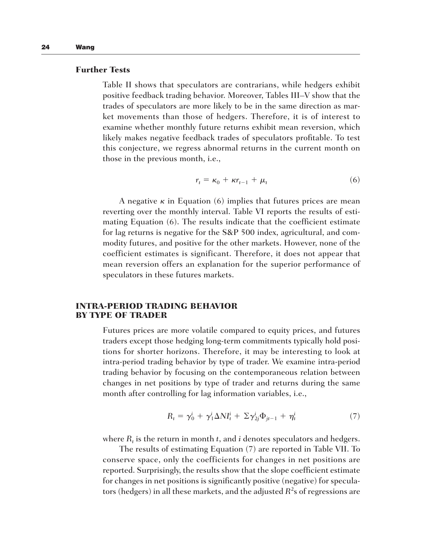# **Further Tests**

Table II shows that speculators are contrarians, while hedgers exhibit positive feedback trading behavior. Moreover, Tables III–V show that the trades of speculators are more likely to be in the same direction as market movements than those of hedgers. Therefore, it is of interest to examine whether monthly future returns exhibit mean reversion, which likely makes negative feedback trades of speculators profitable. To test this conjecture, we regress abnormal returns in the current month on those in the previous month, i.e.,

$$
r_t = \kappa_0 + \kappa r_{t-1} + \mu_t \tag{6}
$$

A negative  $\kappa$  in Equation (6) implies that futures prices are mean reverting over the monthly interval. Table VI reports the results of estimating Equation (6). The results indicate that the coefficient estimate for lag returns is negative for the S&P 500 index, agricultural, and commodity futures, and positive for the other markets. However, none of the coefficient estimates is significant. Therefore, it does not appear that mean reversion offers an explanation for the superior performance of speculators in these futures markets.

### **INTRA-PERIOD TRADING BEHAVIOR BY TYPE OF TRADER**

Futures prices are more volatile compared to equity prices, and futures traders except those hedging long-term commitments typically hold positions for shorter horizons. Therefore, it may be interesting to look at intra-period trading behavior by type of trader. We examine intra-period trading behavior by focusing on the contemporaneous relation between changes in net positions by type of trader and returns during the same month after controlling for lag information variables, i.e.,

$$
R_t = \gamma_0^i + \gamma_1^i \Delta N I_t^i + \Sigma \gamma_{2j}^i \Phi_{jt-1} + \eta_t^i \tag{7}
$$

where *R*, is the return in month *t*, and *i* denotes speculators and hedgers.

The results of estimating Equation (7) are reported in Table VII. To conserve space, only the coefficients for changes in net positions are reported. Surprisingly, the results show that the slope coefficient estimate for changes in net positions is significantly positive (negative) for speculators (hedgers) in all these markets, and the adjusted  $R^2$ s of regressions are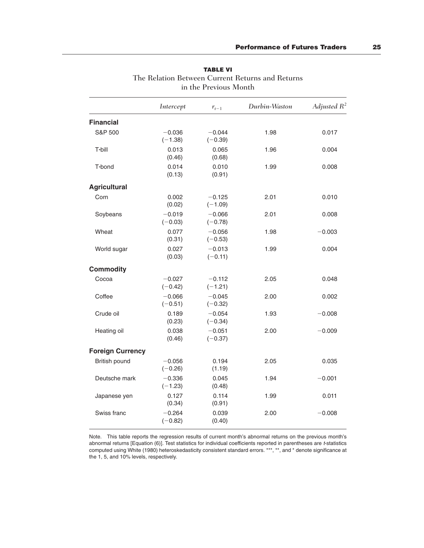|                         | Intercept             | $r_{t-1}$             | Durbin-Waston | Adjusted $R^2$ |
|-------------------------|-----------------------|-----------------------|---------------|----------------|
| <b>Financial</b>        |                       |                       |               |                |
| S&P 500                 | $-0.036$<br>$(-1.38)$ | $-0.044$<br>$(-0.39)$ | 1.98          | 0.017          |
| T-bill                  | 0.013<br>(0.46)       | 0.065<br>(0.68)       | 1.96          | 0.004          |
| T-bond                  | 0.014<br>(0.13)       | 0.010<br>(0.91)       | 1.99          | 0.008          |
| <b>Agricultural</b>     |                       |                       |               |                |
| Corn                    | 0.002<br>(0.02)       | $-0.125$<br>$(-1.09)$ | 2.01          | 0.010          |
| Soybeans                | $-0.019$<br>$(-0.03)$ | $-0.066$<br>$(-0.78)$ | 2.01          | 0.008          |
| Wheat                   | 0.077<br>(0.31)       | $-0.056$<br>$(-0.53)$ | 1.98          | $-0.003$       |
| World sugar             | 0.027<br>(0.03)       | $-0.013$<br>$(-0.11)$ | 1.99          | 0.004          |
| <b>Commodity</b>        |                       |                       |               |                |
| Cocoa                   | $-0.027$<br>$(-0.42)$ | $-0.112$<br>$(-1.21)$ | 2.05          | 0.048          |
| Coffee                  | $-0.066$<br>$(-0.51)$ | $-0.045$<br>$(-0.32)$ | 2.00          | 0.002          |
| Crude oil               | 0.189<br>(0.23)       | $-0.054$<br>$(-0.34)$ | 1.93          | $-0.008$       |
| Heating oil             | 0.038<br>(0.46)       | $-0.051$<br>$(-0.37)$ | 2.00          | $-0.009$       |
| <b>Foreign Currency</b> |                       |                       |               |                |
| British pound           | $-0.056$<br>$(-0.26)$ | 0.194<br>(1.19)       | 2.05          | 0.035          |
| Deutsche mark           | $-0.336$<br>$(-1.23)$ | 0.045<br>(0.48)       | 1.94          | $-0.001$       |
| Japanese yen            | 0.127<br>(0.34)       | 0.114<br>(0.91)       | 1.99          | 0.011          |
| Swiss franc             | $-0.264$<br>$(-0.82)$ | 0.039<br>(0.40)       | 2.00          | $-0.008$       |

#### **TABLE VI** The Relation Between Current Returns and Returns in the Previous Month

Note. This table reports the regression results of current month's abnormal returns on the previous month's abnormal returns [Equation (6)]. Test statistics for individual coefficients reported in parentheses are t-statistics computed using White (1980) heteroskedasticity consistent standard errors. \*\*\*, \*\*, and \* denote significance at the 1, 5, and 10% levels, respectively.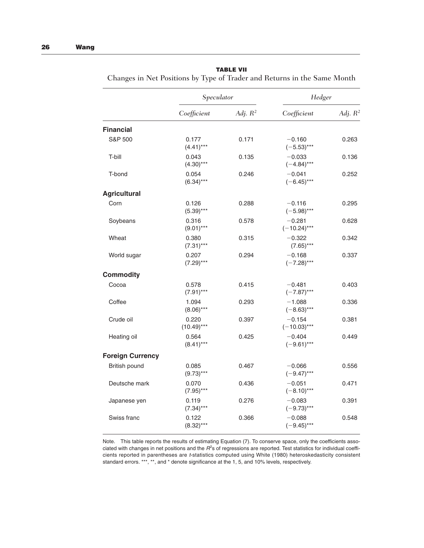|                         | Speculator            |            | Hedger                     |            |
|-------------------------|-----------------------|------------|----------------------------|------------|
|                         | Coefficient           | Adj. $R^2$ | Coefficient                | Adj. $R^2$ |
| <b>Financial</b>        |                       |            |                            |            |
| S&P 500                 | 0.177<br>$(4.41***$   | 0.171      | $-0.160$<br>$(-5.53)***$   | 0.263      |
| T-bill                  | 0.043<br>$(4.30***$   | 0.135      | $-0.033$<br>$(-4.84)$ ***  | 0.136      |
| T-bond                  | 0.054<br>$(6.34)***$  | 0.246      | $-0.041$<br>$(-6.45)$ ***  | 0.252      |
| <b>Agricultural</b>     |                       |            |                            |            |
| Corn                    | 0.126<br>$(5.39)***$  | 0.288      | $-0.116$<br>$(-5.98)$ ***  | 0.295      |
| Soybeans                | 0.316<br>$(9.01)***$  | 0.578      | $-0.281$<br>$(-10.24)$ *** | 0.628      |
| Wheat                   | 0.380<br>$(7.31)***$  | 0.315      | $-0.322$<br>$(7.65)***$    | 0.342      |
| World sugar             | 0.207<br>$(7.29)***$  | 0.294      | $-0.168$<br>$(-7.28)***$   | 0.337      |
| <b>Commodity</b>        |                       |            |                            |            |
| Cocoa                   | 0.578<br>$(7.91)***$  | 0.415      | $-0.481$<br>$(-7.87)$ ***  | 0.403      |
| Coffee                  | 1.094<br>$(8.06)***$  | 0.293      | $-1.088$<br>$(-8.63)***$   | 0.336      |
| Crude oil               | 0.220<br>$(10.49)***$ | 0.397      | $-0.154$<br>$(-10.03)***$  | 0.381      |
| Heating oil             | 0.564<br>$(8.41)***$  | 0.425      | $-0.404$<br>$(-9.61)***$   | 0.449      |
| <b>Foreign Currency</b> |                       |            |                            |            |
| British pound           | 0.085<br>$(9.73)***$  | 0.467      | $-0.066$<br>$(-9.47***$    | 0.556      |
| Deutsche mark           | 0.070<br>$(7.95)***$  | 0.436      | $-0.051$<br>$(-8.10)$ ***  | 0.471      |
| Japanese yen            | 0.119<br>$(7.34)***$  | 0.276      | $-0.083$<br>$(-9.73)***$   | 0.391      |
| Swiss franc             | 0.122<br>$(8.32)***$  | 0.366      | $-0.088$<br>$(-9.45)$ ***  | 0.548      |

**TABLE VII** Changes in Net Positions by Type of Trader and Returns in the Same Month

Note. This table reports the results of estimating Equation (7). To conserve space, only the coefficients associated with changes in net positions and the  $R^2$ s of regressions are reported. Test statistics for individual coefficients reported in parentheses are t-statistics computed using White (1980) heteroskedasticity consistent standard errors. \*\*\*, \*\*, and \* denote significance at the 1, 5, and 10% levels, respectively.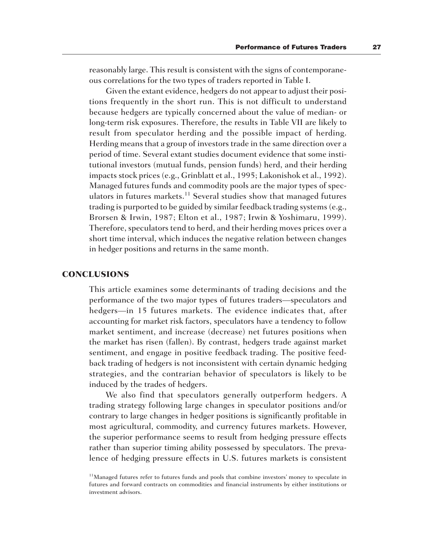reasonably large. This result is consistent with the signs of contemporaneous correlations for the two types of traders reported in Table I.

Given the extant evidence, hedgers do not appear to adjust their positions frequently in the short run. This is not difficult to understand because hedgers are typically concerned about the value of median- or long-term risk exposures. Therefore, the results in Table VII are likely to result from speculator herding and the possible impact of herding. Herding means that a group of investors trade in the same direction over a period of time. Several extant studies document evidence that some institutional investors (mutual funds, pension funds) herd, and their herding impacts stock prices (e.g., Grinblatt et al., 1995; Lakonishok et al., 1992). Managed futures funds and commodity pools are the major types of speculators in futures markets.<sup>11</sup> Several studies show that managed futures trading is purported to be guided by similar feedback trading systems (e.g., Brorsen & Irwin,1987; Elton et al.,1987; Irwin & Yoshimaru,1999). Therefore, speculators tend to herd, and their herding moves prices over a short time interval, which induces the negative relation between changes in hedger positions and returns in the same month.

## **CONCLUSIONS**

This article examines some determinants of trading decisions and the performance of the two major types of futures traders—speculators and hedgers—in 15 futures markets. The evidence indicates that, after accounting for market risk factors, speculators have a tendency to follow market sentiment, and increase (decrease) net futures positions when the market has risen (fallen). By contrast, hedgers trade against market sentiment, and engage in positive feedback trading. The positive feedback trading of hedgers is not inconsistent with certain dynamic hedging strategies, and the contrarian behavior of speculators is likely to be induced by the trades of hedgers.

We also find that speculators generally outperform hedgers. A trading strategy following large changes in speculator positions and/or contrary to large changes in hedger positions is significantly profitable in most agricultural, commodity, and currency futures markets. However, the superior performance seems to result from hedging pressure effects rather than superior timing ability possessed by speculators. The prevalence of hedging pressure effects in U.S. futures markets is consistent

 $<sup>11</sup>$ Managed futures refer to futures funds and pools that combine investors' money to speculate in</sup> futures and forward contracts on commodities and financial instruments by either institutions or investment advisors.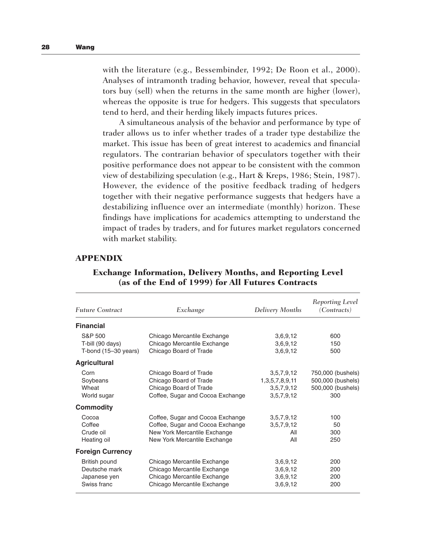with the literature (e.g., Bessembinder, 1992; De Roon et al., 2000). Analyses of intramonth trading behavior, however, reveal that speculators buy (sell) when the returns in the same month are higher (lower), whereas the opposite is true for hedgers. This suggests that speculators tend to herd, and their herding likely impacts futures prices.

A simultaneous analysis of the behavior and performance by type of trader allows us to infer whether trades of a trader type destabilize the market. This issue has been of great interest to academics and financial regulators. The contrarian behavior of speculators together with their positive performance does not appear to be consistent with the common view of destabilizing speculation (e.g., Hart & Kreps, 1986; Stein, 1987). However, the evidence of the positive feedback trading of hedgers together with their negative performance suggests that hedgers have a destabilizing influence over an intermediate (monthly) horizon. These findings have implications for academics attempting to understand the impact of trades by traders, and for futures market regulators concerned with market stability.

#### **APPENDIX**

| Future Contract                | Exchange                         | Delivery Months      | Reporting Level<br>(Contracts) |
|--------------------------------|----------------------------------|----------------------|--------------------------------|
| <b>Financial</b>               |                                  |                      |                                |
| S&P 500                        | Chicago Mercantile Exchange      | 3,6,9,12             | 600                            |
| T-bill (90 days)               | Chicago Mercantile Exchange      | 3,6,9,12             | 150                            |
| T-bond $(15-30 \text{ years})$ | Chicago Board of Trade           | 3,6,9,12             | 500                            |
| <b>Agricultural</b>            |                                  |                      |                                |
| Corn                           | Chicago Board of Trade           | 3, 5, 7, 9, 12       | 750,000 (bushels)              |
| Soybeans                       | Chicago Board of Trade           | 1, 3, 5, 7, 8, 9, 11 | 500,000 (bushels)              |
| Wheat                          | Chicago Board of Trade           | 3, 5, 7, 9, 12       | 500,000 (bushels)              |
| World sugar                    | Coffee, Sugar and Cocoa Exchange | 3, 5, 7, 9, 12       | 300                            |
| <b>Commodity</b>               |                                  |                      |                                |
| Cocoa                          | Coffee, Sugar and Cocoa Exchange | 3, 5, 7, 9, 12       | 100                            |
| Coffee                         | Coffee, Sugar and Cocoa Exchange | 3, 5, 7, 9, 12       | 50                             |
| Crude oil                      | New York Mercantile Exchange     | All                  | 300                            |
| Heating oil                    | New York Mercantile Exchange     | All                  | 250                            |
| <b>Foreign Currency</b>        |                                  |                      |                                |
| British pound                  | Chicago Mercantile Exchange      | 3,6,9,12             | 200                            |
| Deutsche mark                  | Chicago Mercantile Exchange      | 3,6,9,12             | 200                            |
| Japanese yen                   | Chicago Mercantile Exchange      | 3,6,9,12             | 200                            |
| Swiss franc                    | Chicago Mercantile Exchange      | 3,6,9,12             | 200                            |

**Exchange Information, Delivery Months, and Reporting Level (as of the End of 1999) for All Futures Contracts**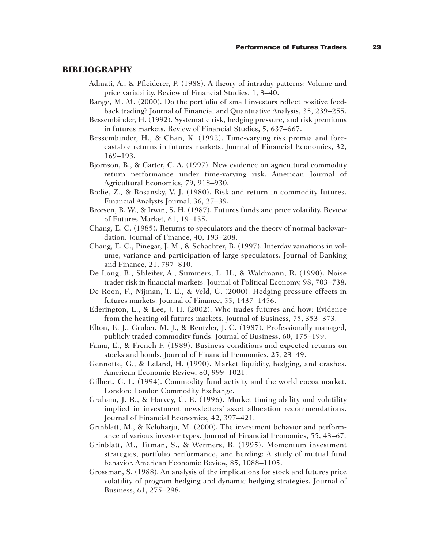#### **BIBLIOGRAPHY**

- Admati, A., & Pfleiderer, P. (1988). A theory of intraday patterns: Volume and price variability. Review of Financial Studies, 1, 3–40.
- Bange, M. M. (2000). Do the portfolio of small investors reflect positive feedback trading? Journal of Financial and Quantitative Analysis, 35, 239–255.
- Bessembinder, H. (1992). Systematic risk, hedging pressure, and risk premiums in futures markets. Review of Financial Studies, 5, 637–667.
- Bessembinder, H., & Chan, K. (1992). Time-varying risk premia and forecastable returns in futures markets. Journal of Financial Economics, 32, 169–193.
- Bjornson, B., & Carter, C. A. (1997). New evidence on agricultural commodity return performance under time-varying risk. American Journal of Agricultural Economics, 79, 918–930.
- Bodie, Z., & Rosansky, V. J. (1980). Risk and return in commodity futures. Financial Analysts Journal, 36, 27–39.
- Brorsen, B. W., & Irwin, S. H. (1987). Futures funds and price volatility. Review of Futures Market, 61, 19–135.
- Chang, E. C. (1985). Returns to speculators and the theory of normal backwardation. Journal of Finance, 40, 193–208.
- Chang, E. C., Pinegar, J. M., & Schachter, B. (1997). Interday variations in volume, variance and participation of large speculators. Journal of Banking and Finance, 21, 797–810.
- De Long, B., Shleifer, A., Summers, L. H., & Waldmann, R. (1990). Noise trader risk in financial markets. Journal of Political Economy, 98, 703–738.
- De Roon, F., Nijman, T. E., & Veld, C. (2000). Hedging pressure effects in futures markets. Journal of Finance, 55, 1437–1456.
- Ederington, L., & Lee, J. H. (2002). Who trades futures and how: Evidence from the heating oil futures markets. Journal of Business, 75, 353–373.
- Elton, E. J., Gruber, M. J., & Rentzler, J. C. (1987). Professionally managed, publicly traded commodity funds. Journal of Business, 60, 175–199.
- Fama, E., & French F. (1989). Business conditions and expected returns on stocks and bonds. Journal of Financial Economics, 25, 23–49.
- Gennotte, G., & Leland, H. (1990). Market liquidity, hedging, and crashes. American Economic Review, 80, 999–1021.
- Gilbert, C. L. (1994). Commodity fund activity and the world cocoa market. London: London Commodity Exchange.
- Graham, J. R., & Harvey, C. R. (1996). Market timing ability and volatility implied in investment newsletters' asset allocation recommendations. Journal of Financial Economics, 42, 397–421.
- Grinblatt, M., & Keloharju, M. (2000). The investment behavior and performance of various investor types. Journal of Financial Economics, 55, 43–67.
- Grinblatt, M., Titman, S., & Wermers, R. (1995). Momentum investment strategies, portfolio performance, and herding: A study of mutual fund behavior. American Economic Review, 85, 1088–1105.
- Grossman, S. (1988). An analysis of the implications for stock and futures price volatility of program hedging and dynamic hedging strategies. Journal of Business, 61, 275–298.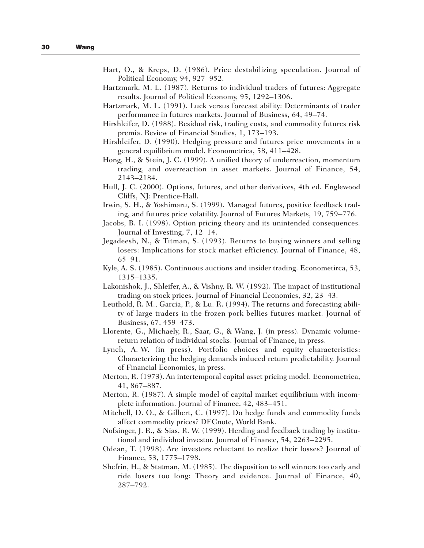- Hart, O., & Kreps, D. (1986). Price destabilizing speculation. Journal of Political Economy, 94, 927–952.
- Hartzmark, M. L. (1987). Returns to individual traders of futures: Aggregate results. Journal of Political Economy, 95, 1292–1306.
- Hartzmark, M. L. (1991). Luck versus forecast ability: Determinants of trader performance in futures markets. Journal of Business, 64, 49–74.
- Hirshleifer, D. (1988). Residual risk, trading costs, and commodity futures risk premia. Review of Financial Studies, 1, 173–193.
- Hirshleifer, D. (1990). Hedging pressure and futures price movements in a general equilibrium model. Econometrica, 58, 411–428.
- Hong, H., & Stein, J. C. (1999). A unified theory of underreaction, momentum trading, and overreaction in asset markets. Journal of Finance, 54, 2143–2184.
- Hull, J. C. (2000). Options, futures, and other derivatives, 4th ed. Englewood Cliffs, NJ: Prentice-Hall.
- Irwin, S. H., & Yoshimaru, S. (1999). Managed futures, positive feedback trading, and futures price volatility. Journal of Futures Markets, 19, 759–776.
- Jacobs, B. I. (1998). Option pricing theory and its unintended consequences. Journal of Investing, 7, 12–14.
- Jegadeesh, N., & Titman, S. (1993). Returns to buying winners and selling losers: Implications for stock market efficiency. Journal of Finance, 48, 65–91.
- Kyle, A. S. (1985). Continuous auctions and insider trading. Econometirca, 53, 1315–1335.
- Lakonishok, J., Shleifer, A., & Vishny, R. W. (1992). The impact of institutional trading on stock prices. Journal of Financial Economics, 32, 23–43.
- Leuthold, R. M., Garcia, P., & Lu. R. (1994). The returns and forecasting ability of large traders in the frozen pork bellies futures market. Journal of Business, 67, 459–473.
- Llorente, G., Michaely, R., Saar, G., & Wang, J. (in press). Dynamic volumereturn relation of individual stocks. Journal of Finance, in press.
- Lynch, A. W. (in press). Portfolio choices and equity characteristics: Characterizing the hedging demands induced return predictability. Journal of Financial Economics, in press.
- Merton, R. (1973). An intertemporal capital asset pricing model. Econometrica, 41, 867–887.
- Merton, R. (1987). A simple model of capital market equilibrium with incomplete information. Journal of Finance, 42, 483–451.
- Mitchell, D. O., & Gilbert, C. (1997). Do hedge funds and commodity funds affect commodity prices? DECnote, World Bank.
- Nofsinger, J. R., & Sias, R. W. (1999). Herding and feedback trading by institutional and individual investor. Journal of Finance, 54, 2263–2295.
- Odean, T. (1998). Are investors reluctant to realize their losses? Journal of Finance, 53, 1775–1798.
- Shefrin, H., & Statman, M. (1985). The disposition to sell winners too early and ride losers too long: Theory and evidence. Journal of Finance, 40, 287–792.